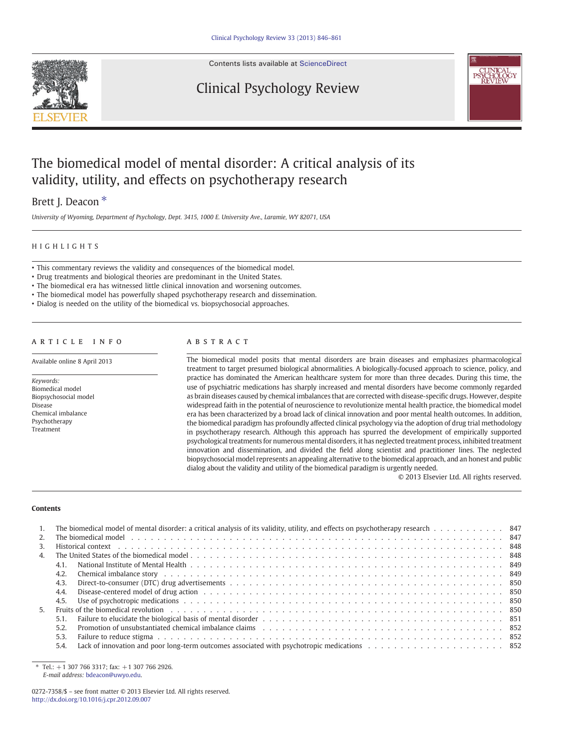

Contents lists available at [ScienceDirect](http://www.sciencedirect.com/science/journal/02727358)

# Clinical Psychology Review



# The biomedical model of mental disorder: A critical analysis of its validity, utility, and effects on psychotherapy research

Brett J. Deacon<sup>\*</sup>

University of Wyoming, Department of Psychology, Dept. 3415, 1000 E. University Ave., Laramie, WY 82071, USA

# HIGHLIGHTS

• This commentary reviews the validity and consequences of the biomedical model.

• Drug treatments and biological theories are predominant in the United States.

• The biomedical era has witnessed little clinical innovation and worsening outcomes.

• The biomedical model has powerfully shaped psychotherapy research and dissemination.

• Dialog is needed on the utility of the biomedical vs. biopsychosocial approaches.

# article info abstract

Available online 8 April 2013

Keywords: Biomedical model Biopsychosocial model Disease Chemical imbalance Psychotherapy Treatment

The biomedical model posits that mental disorders are brain diseases and emphasizes pharmacological treatment to target presumed biological abnormalities. A biologically-focused approach to science, policy, and practice has dominated the American healthcare system for more than three decades. During this time, the use of psychiatric medications has sharply increased and mental disorders have become commonly regarded as brain diseases caused by chemical imbalances that are corrected with disease-specific drugs. However, despite widespread faith in the potential of neuroscience to revolutionize mental health practice, the biomedical model era has been characterized by a broad lack of clinical innovation and poor mental health outcomes. In addition, the biomedical paradigm has profoundly affected clinical psychology via the adoption of drug trial methodology in psychotherapy research. Although this approach has spurred the development of empirically supported psychological treatments for numerous mental disorders, it has neglected treatment process, inhibited treatment innovation and dissemination, and divided the field along scientist and practitioner lines. The neglected biopsychosocial model represents an appealing alternative to the biomedical approach, and an honest and public dialog about the validity and utility of the biomedical paradigm is urgently needed.

© 2013 Elsevier Ltd. All rights reserved.

# **Contents**

|                |      | The biomedical model of mental disorder: a critical analysis of its validity, utility, and effects on psychotherapy research $\dots$ , $\dots$ , $\dots$ , 847                                                                 |  |
|----------------|------|--------------------------------------------------------------------------------------------------------------------------------------------------------------------------------------------------------------------------------|--|
| 2.             |      |                                                                                                                                                                                                                                |  |
| 3.             |      | Historical context response to response the set of the set of the set of the set of the set of the set of the set of the set of the set of the set of the set of the set of the set of the set of the set of the set of the se |  |
| 4 <sup>1</sup> |      |                                                                                                                                                                                                                                |  |
|                | 4.1  |                                                                                                                                                                                                                                |  |
|                | 4.2. | Chemical imbalance story et al., et al., et al., et al., et al., et al., et al., et al., et al., et al., et al., et al., et al., 849                                                                                           |  |
|                | 4.3. |                                                                                                                                                                                                                                |  |
|                | 4.4  |                                                                                                                                                                                                                                |  |
|                | 4.5. |                                                                                                                                                                                                                                |  |
| 5.             |      |                                                                                                                                                                                                                                |  |
|                | 5.1. |                                                                                                                                                                                                                                |  |
|                | 5.2. | Promotion of unsubstantiated chemical imbalance claims response in the content of the set of the set of the set of the set of the set of the set of the set of the set of the set of the set of the set of the set of the set  |  |
|                | 5.3. |                                                                                                                                                                                                                                |  |
|                | 5.4. |                                                                                                                                                                                                                                |  |

 $*$  Tel.: +1 307 766 3317; fax: +1 307 766 2926. E-mail address: [bdeacon@uwyo.edu](mailto:bdeacon@uwyo.edu).

0272-7358/\$ – see front matter © 2013 Elsevier Ltd. All rights reserved. <http://dx.doi.org/10.1016/j.cpr.2012.09.007>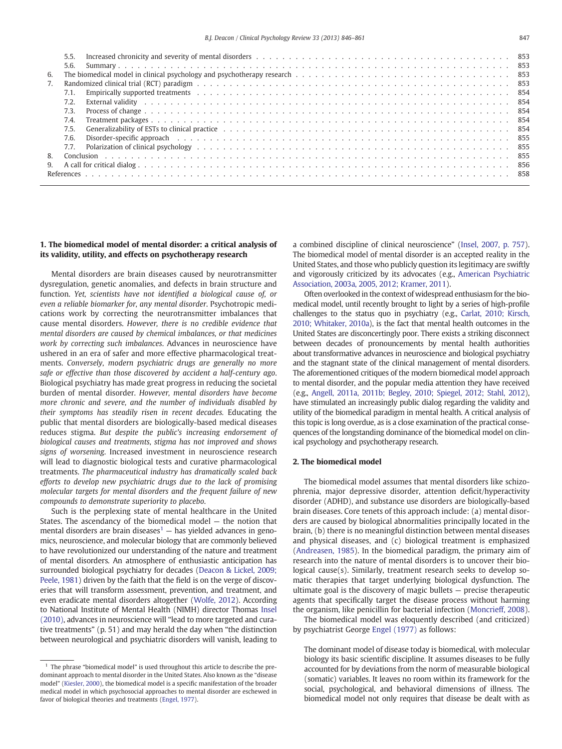|    | 5.5. |                                                                                                                                                                                                                                |  |  |  |  |  |
|----|------|--------------------------------------------------------------------------------------------------------------------------------------------------------------------------------------------------------------------------------|--|--|--|--|--|
|    |      |                                                                                                                                                                                                                                |  |  |  |  |  |
| 6. |      |                                                                                                                                                                                                                                |  |  |  |  |  |
| 7. |      |                                                                                                                                                                                                                                |  |  |  |  |  |
|    |      |                                                                                                                                                                                                                                |  |  |  |  |  |
|    | 7.2. |                                                                                                                                                                                                                                |  |  |  |  |  |
|    | 7.3. |                                                                                                                                                                                                                                |  |  |  |  |  |
|    | 7.4. |                                                                                                                                                                                                                                |  |  |  |  |  |
|    | 7.5. | Generalizability of ESTs to clinical practice enterpresent enterpresent enterpresent enterpresent enterpresent                                                                                                                 |  |  |  |  |  |
|    | 7.6. | Disorder-specific approach response to the set of the set of the set of the set of the set of the set of the set of the set of the set of the set of the set of the set of the set of the set of the set of the set of the set |  |  |  |  |  |
|    |      |                                                                                                                                                                                                                                |  |  |  |  |  |
| 8. |      |                                                                                                                                                                                                                                |  |  |  |  |  |
|    |      |                                                                                                                                                                                                                                |  |  |  |  |  |
|    |      |                                                                                                                                                                                                                                |  |  |  |  |  |
|    |      |                                                                                                                                                                                                                                |  |  |  |  |  |

# 1. The biomedical model of mental disorder: a critical analysis of its validity, utility, and effects on psychotherapy research

Mental disorders are brain diseases caused by neurotransmitter dysregulation, genetic anomalies, and defects in brain structure and function. Yet, scientists have not identified a biological cause of, or even a reliable biomarker for, any mental disorder. Psychotropic medications work by correcting the neurotransmitter imbalances that cause mental disorders. However, there is no credible evidence that mental disorders are caused by chemical imbalances, or that medicines work by correcting such imbalances. Advances in neuroscience have ushered in an era of safer and more effective pharmacological treatments. Conversely, modern psychiatric drugs are generally no more safe or effective than those discovered by accident a half-century ago. Biological psychiatry has made great progress in reducing the societal burden of mental disorder. However, mental disorders have become more chronic and severe, and the number of individuals disabled by their symptoms has steadily risen in recent decades. Educating the public that mental disorders are biologically-based medical diseases reduces stigma. But despite the public's increasing endorsement of biological causes and treatments, stigma has not improved and shows signs of worsening. Increased investment in neuroscience research will lead to diagnostic biological tests and curative pharmacological treatments. The pharmaceutical industry has dramatically scaled back efforts to develop new psychiatric drugs due to the lack of promising molecular targets for mental disorders and the frequent failure of new compounds to demonstrate superiority to placebo.

Such is the perplexing state of mental healthcare in the United States. The ascendancy of the biomedical model — the notion that mental disorders are brain diseases<sup>1</sup>  $-$  has yielded advances in genomics, neuroscience, and molecular biology that are commonly believed to have revolutionized our understanding of the nature and treatment of mental disorders. An atmosphere of enthusiastic anticipation has surrounded biological psychiatry for decades ([Deacon & Lickel, 2009;](#page-12-0) [Peele, 1981\)](#page-12-0) driven by the faith that the field is on the verge of discoveries that will transform assessment, prevention, and treatment, and even eradicate mental disorders altogether [\(Wolfe, 2012\)](#page-15-0). According to National Institute of Mental Health (NIMH) director Thomas [Insel](#page-13-0) [\(2010\)](#page-13-0), advances in neuroscience will "lead to more targeted and curative treatments" (p. 51) and may herald the day when "the distinction between neurological and psychiatric disorders will vanish, leading to a combined discipline of clinical neuroscience" ([Insel, 2007, p. 757](#page-13-0)). The biomedical model of mental disorder is an accepted reality in the United States, and those who publicly question its legitimacy are swiftly and vigorously criticized by its advocates (e.g., [American Psychiatric](#page-12-0) [Association, 2003a, 2005, 2012; Kramer, 2011\)](#page-12-0).

Often overlooked in the context of widespread enthusiasm for the biomedical model, until recently brought to light by a series of high-profile challenges to the status quo in psychiatry (e.g., [Carlat, 2010; Kirsch,](#page-12-0) [2010; Whitaker, 2010a](#page-12-0)), is the fact that mental health outcomes in the United States are disconcertingly poor. There exists a striking disconnect between decades of pronouncements by mental health authorities about transformative advances in neuroscience and biological psychiatry and the stagnant state of the clinical management of mental disorders. The aforementioned critiques of the modern biomedical model approach to mental disorder, and the popular media attention they have received (e.g., [Angell, 2011a, 2011b; Begley, 2010; Spiegel, 2012; Stahl, 2012](#page-12-0)), have stimulated an increasingly public dialog regarding the validity and utility of the biomedical paradigm in mental health. A critical analysis of this topic is long overdue, as is a close examination of the practical consequences of the longstanding dominance of the biomedical model on clinical psychology and psychotherapy research.

### 2. The biomedical model

The biomedical model assumes that mental disorders like schizophrenia, major depressive disorder, attention deficit/hyperactivity disorder (ADHD), and substance use disorders are biologically-based brain diseases. Core tenets of this approach include: (a) mental disorders are caused by biological abnormalities principally located in the brain, (b) there is no meaningful distinction between mental diseases and physical diseases, and (c) biological treatment is emphasized [\(Andreasen, 1985\)](#page-12-0). In the biomedical paradigm, the primary aim of research into the nature of mental disorders is to uncover their biological cause(s). Similarly, treatment research seeks to develop somatic therapies that target underlying biological dysfunction. The ultimate goal is the discovery of magic bullets — precise therapeutic agents that specifically target the disease process without harming the organism, like penicillin for bacterial infection ([Moncrieff, 2008](#page-13-0)).

The biomedical model was eloquently described (and criticized) by psychiatrist George [Engel \(1977\)](#page-12-0) as follows:

The dominant model of disease today is biomedical, with molecular biology its basic scientific discipline. It assumes diseases to be fully accounted for by deviations from the norm of measurable biological (somatic) variables. It leaves no room within its framework for the social, psychological, and behavioral dimensions of illness. The biomedical model not only requires that disease be dealt with as

 $1$  The phrase "biomedical model" is used throughout this article to describe the predominant approach to mental disorder in the United States. Also known as the "disease model" [\(Kiesler, 2000\)](#page-13-0), the biomedical model is a specific manifestation of the broader medical model in which psychosocial approaches to mental disorder are eschewed in favor of biological theories and treatments ([Engel, 1977](#page-12-0)).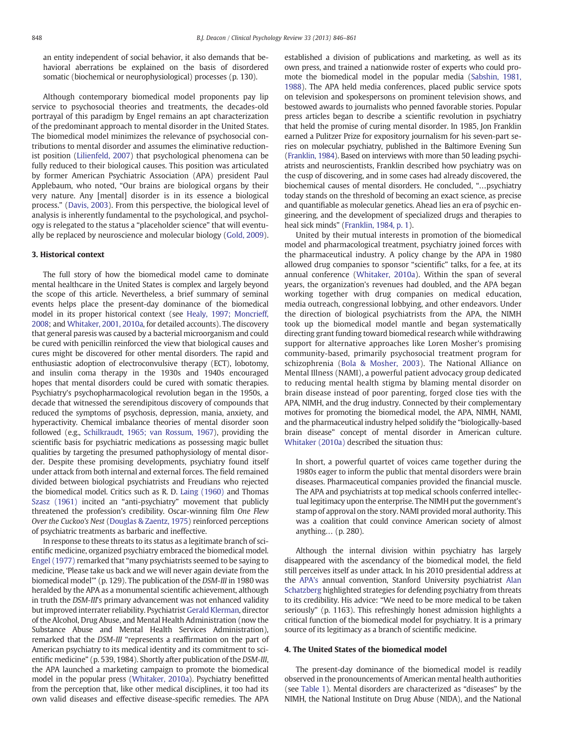an entity independent of social behavior, it also demands that behavioral aberrations be explained on the basis of disordered somatic (biochemical or neurophysiological) processes (p. 130).

Although contemporary biomedical model proponents pay lip service to psychosocial theories and treatments, the decades-old portrayal of this paradigm by Engel remains an apt characterization of the predominant approach to mental disorder in the United States. The biomedical model minimizes the relevance of psychosocial contributions to mental disorder and assumes the eliminative reductionist position [\(Lilienfeld, 2007](#page-13-0)) that psychological phenomena can be fully reduced to their biological causes. This position was articulated by former American Psychiatric Association (APA) president Paul Applebaum, who noted, "Our brains are biological organs by their very nature. Any [mental] disorder is in its essence a biological process." [\(Davis, 2003\)](#page-12-0). From this perspective, the biological level of analysis is inherently fundamental to the psychological, and psychology is relegated to the status a "placeholder science" that will eventually be replaced by neuroscience and molecular biology [\(Gold, 2009](#page-13-0)).

#### 3. Historical context

The full story of how the biomedical model came to dominate mental healthcare in the United States is complex and largely beyond the scope of this article. Nevertheless, a brief summary of seminal events helps place the present-day dominance of the biomedical model in its proper historical context (see [Healy, 1997; Moncrieff,](#page-13-0) [2008;](#page-13-0) and [Whitaker, 2001, 2010a,](#page-15-0) for detailed accounts). The discovery that general paresis was caused by a bacterial microorganism and could be cured with penicillin reinforced the view that biological causes and cures might be discovered for other mental disorders. The rapid and enthusiastic adoption of electroconvulsive therapy (ECT), lobotomy, and insulin coma therapy in the 1930s and 1940s encouraged hopes that mental disorders could be cured with somatic therapies. Psychiatry's psychopharmacological revolution began in the 1950s, a decade that witnessed the serendipitous discovery of compounds that reduced the symptoms of psychosis, depression, mania, anxiety, and hyperactivity. Chemical imbalance theories of mental disorder soon followed (e.g., [Schilkraudt, 1965; van Rossum, 1967](#page-14-0)), providing the scientific basis for psychiatric medications as possessing magic bullet qualities by targeting the presumed pathophysiology of mental disorder. Despite these promising developments, psychiatry found itself under attack from both internal and external forces. The field remained divided between biological psychiatrists and Freudians who rejected the biomedical model. Critics such as R. D. [Laing \(1960\)](#page-13-0) and Thomas [Szasz \(1961\)](#page-14-0) incited an "anti-psychiatry" movement that publicly threatened the profession's credibility. Oscar-winning film One Flew Over the Cuckoo's Nest [\(Douglas & Zaentz, 1975](#page-12-0)) reinforced perceptions of psychiatric treatments as barbaric and ineffective.

In response to these threats to its status as a legitimate branch of scientific medicine, organized psychiatry embraced the biomedical model. [Engel \(1977\)](#page-12-0) remarked that "many psychiatrists seemed to be saying to medicine, 'Please take us back and we will never again deviate from the biomedical model'" (p. 129). The publication of the DSM-III in 1980 was heralded by the APA as a monumental scientific achievement, although in truth the DSM-III's primary advancement was not enhanced validity but improved interrater reliability. Psychiatrist [Gerald Klerman](#page-13-0), director of the Alcohol, Drug Abuse, and Mental Health Administration (now the Substance Abuse and Mental Health Services Administration), remarked that the DSM-III "represents a reaffirmation on the part of American psychiatry to its medical identity and its commitment to scientific medicine" (p. 539, 1984). Shortly after publication of the DSM-III, the APA launched a marketing campaign to promote the biomedical model in the popular press [\(Whitaker, 2010a](#page-15-0)). Psychiatry benefitted from the perception that, like other medical disciplines, it too had its own valid diseases and effective disease-specific remedies. The APA

established a division of publications and marketing, as well as its own press, and trained a nationwide roster of experts who could promote the biomedical model in the popular media ([Sabshin, 1981,](#page-14-0) [1988\)](#page-14-0). The APA held media conferences, placed public service spots on television and spokespersons on prominent television shows, and bestowed awards to journalists who penned favorable stories. Popular press articles began to describe a scientific revolution in psychiatry that held the promise of curing mental disorder. In 1985, Jon Franklin earned a Pulitzer Prize for expository journalism for his seven-part series on molecular psychiatry, published in the Baltimore Evening Sun [\(Franklin, 1984](#page-13-0)). Based on interviews with more than 50 leading psychiatrists and neuroscientists, Franklin described how psychiatry was on the cusp of discovering, and in some cases had already discovered, the biochemical causes of mental disorders. He concluded, "…psychiatry today stands on the threshold of becoming an exact science, as precise and quantifiable as molecular genetics. Ahead lies an era of psychic engineering, and the development of specialized drugs and therapies to heal sick minds" ([Franklin, 1984, p. 1](#page-13-0)).

United by their mutual interests in promotion of the biomedical model and pharmacological treatment, psychiatry joined forces with the pharmaceutical industry. A policy change by the APA in 1980 allowed drug companies to sponsor "scientific" talks, for a fee, at its annual conference ([Whitaker, 2010a](#page-15-0)). Within the span of several years, the organization's revenues had doubled, and the APA began working together with drug companies on medical education, media outreach, congressional lobbying, and other endeavors. Under the direction of biological psychiatrists from the APA, the NIMH took up the biomedical model mantle and began systematically directing grant funding toward biomedical research while withdrawing support for alternative approaches like Loren Mosher's promising community-based, primarily psychosocial treatment program for schizophrenia ([Bola & Mosher, 2003](#page-12-0)). The National Alliance on Mental Illness (NAMI), a powerful patient advocacy group dedicated to reducing mental health stigma by blaming mental disorder on brain disease instead of poor parenting, forged close ties with the APA, NIMH, and the drug industry. Connected by their complementary motives for promoting the biomedical model, the APA, NIMH, NAMI, and the pharmaceutical industry helped solidify the "biologically-based brain disease" concept of mental disorder in American culture. [Whitaker \(2010a\)](#page-15-0) described the situation thus:

In short, a powerful quartet of voices came together during the 1980s eager to inform the public that mental disorders were brain diseases. Pharmaceutical companies provided the financial muscle. The APA and psychiatrists at top medical schools conferred intellectual legitimacy upon the enterprise. The NIMH put the government's stamp of approval on the story. NAMI provided moral authority. This was a coalition that could convince American society of almost anything… (p. 280).

Although the internal division within psychiatry has largely disappeared with the ascendancy of the biomedical model, the field still perceives itself as under attack. In his 2010 presidential address at the [APA's](#page-12-0) annual convention, Stanford University psychiatrist [Alan](#page-14-0) [Schatzberg](#page-14-0) highlighted strategies for defending psychiatry from threats to its credibility. His advice: "We need to be more medical to be taken seriously" (p. 1163). This refreshingly honest admission highlights a critical function of the biomedical model for psychiatry. It is a primary source of its legitimacy as a branch of scientific medicine.

#### 4. The United States of the biomedical model

The present-day dominance of the biomedical model is readily observed in the pronouncements of American mental health authorities (see [Table 1\)](#page-3-0). Mental disorders are characterized as "diseases" by the NIMH, the National Institute on Drug Abuse (NIDA), and the National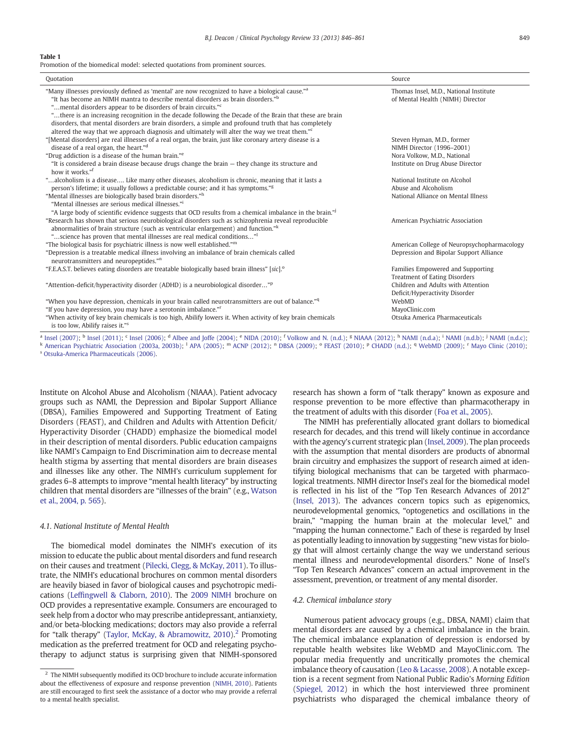#### <span id="page-3-0"></span>Table 1

Promotion of the biomedical model: selected quotations from prominent sources.

| Quotation                                                                                                                                                                                                                                                                                                                                                                                                                                                                                                                                                                                                                 | Source                                                                     |
|---------------------------------------------------------------------------------------------------------------------------------------------------------------------------------------------------------------------------------------------------------------------------------------------------------------------------------------------------------------------------------------------------------------------------------------------------------------------------------------------------------------------------------------------------------------------------------------------------------------------------|----------------------------------------------------------------------------|
| "Many illnesses previously defined as 'mental' are now recognized to have a biological cause." <sup>a</sup><br>"It has become an NIMH mantra to describe mental disorders as brain disorders." <sup>b</sup><br>"mental disorders appear to be disorders of brain circuits." <sup>c</sup><br>"there is an increasing recognition in the decade following the Decade of the Brain that these are brain"<br>disorders, that mental disorders are brain disorders, a simple and profound truth that has completely<br>altered the way that we approach diagnosis and ultimately will alter the way we treat them." $\epsilon$ | Thomas Insel, M.D., National Institute<br>of Mental Health (NIMH) Director |
| "[Mental disorders] are real illnesses of a real organ, the brain, just like coronary artery disease is a                                                                                                                                                                                                                                                                                                                                                                                                                                                                                                                 | Steven Hyman, M.D., former                                                 |
| disease of a real organ, the heart." <sup>d</sup><br>"Drug addiction is a disease of the human brain." <sup>e</sup>                                                                                                                                                                                                                                                                                                                                                                                                                                                                                                       | NIMH Director (1996-2001)<br>Nora Volkow, M.D., National                   |
| "It is considered a brain disease because drugs change the brain – they change its structure and<br>how it works." <sup>f</sup>                                                                                                                                                                                                                                                                                                                                                                                                                                                                                           | Institute on Drug Abuse Director                                           |
| "alcoholism is a disease Like many other diseases, alcoholism is chronic, meaning that it lasts a                                                                                                                                                                                                                                                                                                                                                                                                                                                                                                                         | National Institute on Alcohol                                              |
| person's lifetime; it usually follows a predictable course; and it has symptoms." <sup>g</sup>                                                                                                                                                                                                                                                                                                                                                                                                                                                                                                                            | Abuse and Alcoholism                                                       |
| "Mental illnesses are biologically based brain disorders."h<br>"Mental illnesses are serious medical illnesses." <sup>i</sup>                                                                                                                                                                                                                                                                                                                                                                                                                                                                                             | National Alliance on Mental Illness                                        |
| "A large body of scientific evidence suggests that OCD results from a chemical imbalance in the brain."<br>"Research has shown that serious neurobiological disorders such as schizophrenia reveal reproducible<br>abnormalities of brain structure (such as ventricular enlargement) and function."<br>"science has proven that mental illnesses are real medical conditions"                                                                                                                                                                                                                                            | American Psychiatric Association                                           |
| "The biological basis for psychiatric illness is now well established.""                                                                                                                                                                                                                                                                                                                                                                                                                                                                                                                                                  | American College of Neuropsychopharmacology                                |
| "Depression is a treatable medical illness involving an imbalance of brain chemicals called<br>neurotransmitters and neuropeptides." <sup>n</sup>                                                                                                                                                                                                                                                                                                                                                                                                                                                                         | Depression and Bipolar Support Alliance                                    |
| "F.E.A.S.T. believes eating disorders are treatable biologically based brain illness" [sic].                                                                                                                                                                                                                                                                                                                                                                                                                                                                                                                              | Families Empowered and Supporting<br><b>Treatment of Eating Disorders</b>  |
| "Attention-deficit/hyperactivity disorder (ADHD) is a neurobiological disorder"P                                                                                                                                                                                                                                                                                                                                                                                                                                                                                                                                          | Children and Adults with Attention<br>Deficit/Hyperactivity Disorder       |
| "When you have depression, chemicals in your brain called neurotransmitters are out of balance." <sup>q</sup>                                                                                                                                                                                                                                                                                                                                                                                                                                                                                                             | WebMD                                                                      |
| "If you have depression, you may have a serotonin imbalance.""                                                                                                                                                                                                                                                                                                                                                                                                                                                                                                                                                            | MayoClinic.com                                                             |
| "When activity of key brain chemicals is too high, Abilify lowers it. When activity of key brain chemicals<br>is too low, Abilify raises it." <sup>s</sup>                                                                                                                                                                                                                                                                                                                                                                                                                                                                | Otsuka America Pharmaceuticals                                             |

<sup>a</sup> [Insel \(2007\)](#page-13-0); <sup>b</sup> [Insel \(2011\);](#page-13-0) <sup>c</sup> [Insel \(2006\);](#page-13-0) <sup>d</sup> [Albee and Joffe \(2004\);](#page-12-0) <sup>e</sup> [NIDA \(2010\)](#page-14-0); <sup>F</sup> [Volkow and N. \(n.d.\)](#page-14-0); <sup>g</sup> [NIAAA \(2012\);](#page-14-0) <sup>h</sup> [NAMI \(n.d.a\);](#page-14-0) <sup>i</sup> [NAMI \(n.d.b\)](#page-14-0); <sup>j</sup> [NAMI \(n.d.c\)](#page-14-0); k [American Psychiatric Association \(2003a, 2003b\);](#page-12-0) <sup>1</sup> [APA \(2005\);](#page-12-0) <sup>m</sup> [ACNP \(2012\);](#page-12-0) <sup>n</sup> [DBSA \(2009\)](#page-12-0); ° [FEAST \(2010\)](#page-12-0); <sup>p</sup> [CHADD \(n.d.\)](#page-12-0); <sup>q</sup> [WebMD \(2009\);](#page-15-0) <sup>r</sup> [Mayo Clinic \(2010\);](#page-13-0)

<sup>s</sup> [Otsuka-America Pharmaceuticals \(2006\)](#page-14-0).

Institute on Alcohol Abuse and Alcoholism (NIAAA). Patient advocacy groups such as NAMI, the Depression and Bipolar Support Alliance (DBSA), Families Empowered and Supporting Treatment of Eating Disorders (FEAST), and Children and Adults with Attention Deficit/ Hyperactivity Disorder (CHADD) emphasize the biomedical model in their description of mental disorders. Public education campaigns like NAMI's Campaign to End Discrimination aim to decrease mental health stigma by asserting that mental disorders are brain diseases and illnesses like any other. The NIMH's curriculum supplement for grades 6–8 attempts to improve "mental health literacy" by instructing children that mental disorders are "illnesses of the brain" (e.g., [Watson](#page-15-0) [et al., 2004, p. 565\)](#page-15-0).

#### 4.1. National Institute of Mental Health

The biomedical model dominates the NIMH's execution of its mission to educate the public about mental disorders and fund research on their causes and treatment [\(Pilecki, Clegg, & McKay, 2011\)](#page-14-0). To illustrate, the NIMH's educational brochures on common mental disorders are heavily biased in favor of biological causes and psychotropic medications (Leffi[ngwell & Claborn, 2010](#page-13-0)). The [2009 NIMH](#page-14-0) brochure on OCD provides a representative example. Consumers are encouraged to seek help from a doctor who may prescribe antidepressant, antianxiety, and/or beta-blocking medications; doctors may also provide a referral for "talk therapy" ([Taylor, McKay, & Abramowitz, 2010](#page-14-0)).<sup>2</sup> Promoting medication as the preferred treatment for OCD and relegating psychotherapy to adjunct status is surprising given that NIMH-sponsored research has shown a form of "talk therapy" known as exposure and response prevention to be more effective than pharmacotherapy in the treatment of adults with this disorder ([Foa et al., 2005\)](#page-13-0).

The NIMH has preferentially allocated grant dollars to biomedical research for decades, and this trend will likely continue in accordance with the agency's current strategic plan [\(Insel, 2009](#page-13-0)). The plan proceeds with the assumption that mental disorders are products of abnormal brain circuitry and emphasizes the support of research aimed at identifying biological mechanisms that can be targeted with pharmacological treatments. NIMH director Insel's zeal for the biomedical model is reflected in his list of the "Top Ten Research Advances of 2012" [\(Insel, 2013](#page-13-0)). The advances concern topics such as epigenomics, neurodevelopmental genomics, "optogenetics and oscillations in the brain," "mapping the human brain at the molecular level," and "mapping the human connectome." Each of these is regarded by Insel as potentially leading to innovation by suggesting "new vistas for biology that will almost certainly change the way we understand serious mental illness and neurodevelopmental disorders." None of Insel's "Top Ten Research Advances" concern an actual improvement in the assessment, prevention, or treatment of any mental disorder.

#### 4.2. Chemical imbalance story

Numerous patient advocacy groups (e.g., DBSA, NAMI) claim that mental disorders are caused by a chemical imbalance in the brain. The chemical imbalance explanation of depression is endorsed by reputable health websites like WebMD and MayoClinic.com. The popular media frequently and uncritically promotes the chemical imbalance theory of causation ([Leo & Lacasse, 2008](#page-13-0)). A notable exception is a recent segment from National Public Radio's Morning Edition [\(Spiegel, 2012](#page-14-0)) in which the host interviewed three prominent psychiatrists who disparaged the chemical imbalance theory of

 $^{\rm 2}$  The NIMH subsequently modified its OCD brochure to include accurate information about the effectiveness of exposure and response prevention [\(NIMH, 2010\)](#page-14-0). Patients are still encouraged to first seek the assistance of a doctor who may provide a referral to a mental health specialist.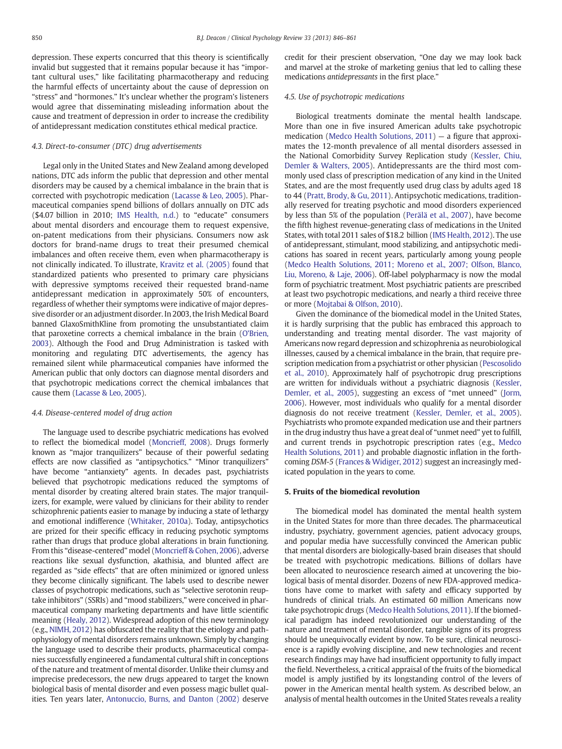depression. These experts concurred that this theory is scientifically invalid but suggested that it remains popular because it has "important cultural uses," like facilitating pharmacotherapy and reducing the harmful effects of uncertainty about the cause of depression on "stress" and "hormones." It's unclear whether the program's listeners would agree that disseminating misleading information about the cause and treatment of depression in order to increase the credibility of antidepressant medication constitutes ethical medical practice.

#### 4.3. Direct-to-consumer (DTC) drug advertisements

Legal only in the United States and New Zealand among developed nations, DTC ads inform the public that depression and other mental disorders may be caused by a chemical imbalance in the brain that is corrected with psychotropic medication [\(Lacasse & Leo, 2005](#page-13-0)). Pharmaceutical companies spend billions of dollars annually on DTC ads (\$4.07 billion in 2010; [IMS Health, n.d.](#page-13-0)) to "educate" consumers about mental disorders and encourage them to request expensive, on-patent medications from their physicians. Consumers now ask doctors for brand-name drugs to treat their presumed chemical imbalances and often receive them, even when pharmacotherapy is not clinically indicated. To illustrate, [Kravitz et al. \(2005\)](#page-13-0) found that standardized patients who presented to primary care physicians with depressive symptoms received their requested brand-name antidepressant medication in approximately 50% of encounters, regardless of whether their symptoms were indicative of major depressive disorder or an adjustment disorder. In 2003, the Irish Medical Board banned GlaxoSmithKline from promoting the unsubstantiated claim that paroxetine corrects a chemical imbalance in the brain [\(O'Brien,](#page-14-0) [2003\)](#page-14-0). Although the Food and Drug Administration is tasked with monitoring and regulating DTC advertisements, the agency has remained silent while pharmaceutical companies have informed the American public that only doctors can diagnose mental disorders and that psychotropic medications correct the chemical imbalances that cause them [\(Lacasse & Leo, 2005\)](#page-13-0).

#### 4.4. Disease-centered model of drug action

The language used to describe psychiatric medications has evolved to reflect the biomedical model [\(Moncrieff, 2008](#page-13-0)). Drugs formerly known as "major tranquilizers" because of their powerful sedating effects are now classified as "antipsychotics." "Minor tranquilizers" have become "antianxiety" agents. In decades past, psychiatrists believed that psychotropic medications reduced the symptoms of mental disorder by creating altered brain states. The major tranquilizers, for example, were valued by clinicians for their ability to render schizophrenic patients easier to manage by inducing a state of lethargy and emotional indifference ([Whitaker, 2010a\)](#page-15-0). Today, antipsychotics are prized for their specific efficacy in reducing psychotic symptoms rather than drugs that produce global alterations in brain functioning. From this "disease-centered" model [\(Moncrieff & Cohen, 2006\)](#page-14-0), adverse reactions like sexual dysfunction, akathisia, and blunted affect are regarded as "side effects" that are often minimized or ignored unless they become clinically significant. The labels used to describe newer classes of psychotropic medications, such as "selective serotonin reuptake inhibitors" (SSRIs) and "mood stabilizers," were conceived in pharmaceutical company marketing departments and have little scientific meaning ([Healy, 2012\)](#page-13-0). Widespread adoption of this new terminology (e.g., [NIMH, 2012\)](#page-14-0) has obfuscated the reality that the etiology and pathophysiology of mental disorders remains unknown. Simply by changing the language used to describe their products, pharmaceutical companies successfully engineered a fundamental cultural shift in conceptions of the nature and treatment of mental disorder. Unlike their clumsy and imprecise predecessors, the new drugs appeared to target the known biological basis of mental disorder and even possess magic bullet qualities. Ten years later, [Antonuccio, Burns, and Danton \(2002\)](#page-12-0) deserve credit for their prescient observation, "One day we may look back and marvel at the stroke of marketing genius that led to calling these medications antidepressants in the first place."

#### 4.5. Use of psychotropic medications

Biological treatments dominate the mental health landscape. More than one in five insured American adults take psychotropic medication ([Medco Health Solutions, 2011\)](#page-13-0) — a figure that approximates the 12-month prevalence of all mental disorders assessed in the National Comorbidity Survey Replication study ([Kessler, Chiu,](#page-13-0) [Demler & Walters, 2005\)](#page-13-0). Antidepressants are the third most commonly used class of prescription medication of any kind in the United States, and are the most frequently used drug class by adults aged 18 to 44 [\(Pratt, Brody, & Gu, 2011](#page-14-0)). Antipsychotic medications, traditionally reserved for treating psychotic and mood disorders experienced by less than 5% of the population ([Perälä et al., 2007](#page-14-0)), have become the fifth highest revenue-generating class of medications in the United States, with total 2011 sales of \$18.2 billion ([IMS Health, 2012\)](#page-13-0). The use of antidepressant, stimulant, mood stabilizing, and antipsychotic medications has soared in recent years, particularly among young people [\(Medco Health Solutions, 2011; Moreno et al., 2007; Olfson, Blanco,](#page-13-0) [Liu, Moreno, & Laje, 2006](#page-13-0)). Off-label polypharmacy is now the modal form of psychiatric treatment. Most psychiatric patients are prescribed at least two psychotropic medications, and nearly a third receive three or more ([Mojtabai & Olfson, 2010](#page-13-0)).

Given the dominance of the biomedical model in the United States, it is hardly surprising that the public has embraced this approach to understanding and treating mental disorder. The vast majority of Americans now regard depression and schizophrenia as neurobiological illnesses, caused by a chemical imbalance in the brain, that require prescription medication from a psychiatrist or other physician ([Pescosolido](#page-14-0) [et al., 2010\)](#page-14-0). Approximately half of psychotropic drug prescriptions are written for individuals without a psychiatric diagnosis ([Kessler,](#page-13-0) [Demler, et al., 2005](#page-13-0)), suggesting an excess of "met unneed" ([Jorm,](#page-13-0) [2006\)](#page-13-0). However, most individuals who qualify for a mental disorder diagnosis do not receive treatment [\(Kessler, Demler, et al., 2005\)](#page-13-0). Psychiatrists who promote expanded medication use and their partners in the drug industry thus have a great deal of "unmet need" yet to fulfill, and current trends in psychotropic prescription rates (e.g., [Medco](#page-13-0) [Health Solutions, 2011\)](#page-13-0) and probable diagnostic inflation in the forthcoming DSM-5 ([Frances & Widiger, 2012\)](#page-13-0) suggest an increasingly medicated population in the years to come.

### 5. Fruits of the biomedical revolution

The biomedical model has dominated the mental health system in the United States for more than three decades. The pharmaceutical industry, psychiatry, government agencies, patient advocacy groups, and popular media have successfully convinced the American public that mental disorders are biologically-based brain diseases that should be treated with psychotropic medications. Billions of dollars have been allocated to neuroscience research aimed at uncovering the biological basis of mental disorder. Dozens of new FDA-approved medications have come to market with safety and efficacy supported by hundreds of clinical trials. An estimated 60 million Americans now take psychotropic drugs [\(Medco Health Solutions, 2011](#page-13-0)). If the biomedical paradigm has indeed revolutionized our understanding of the nature and treatment of mental disorder, tangible signs of its progress should be unequivocally evident by now. To be sure, clinical neuroscience is a rapidly evolving discipline, and new technologies and recent research findings may have had insufficient opportunity to fully impact the field. Nevertheless, a critical appraisal of the fruits of the biomedical model is amply justified by its longstanding control of the levers of power in the American mental health system. As described below, an analysis of mental health outcomes in the United States reveals a reality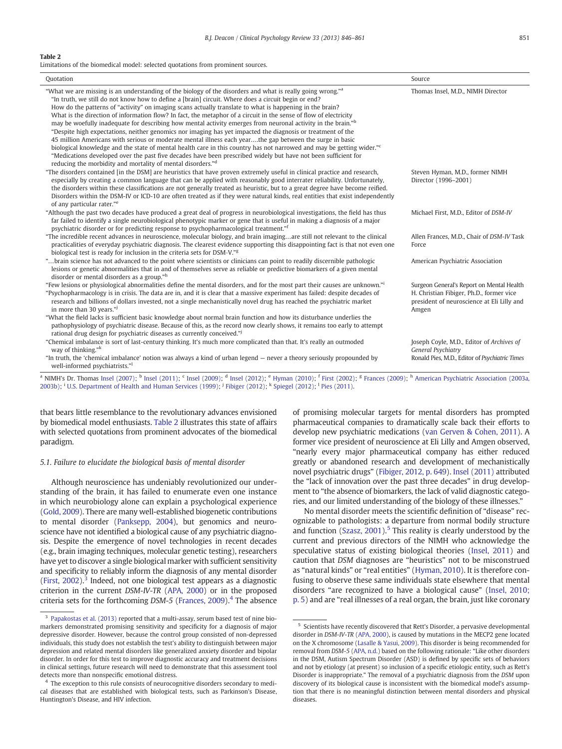# Table 2

Limitations of the biomedical model: selected quotations from prominent sources.

| <b>Quotation</b>                                                                                                                                                                                                                                                                                                                                                                                                                                                                                                                                                                                                                                                                                                                                                                                                                                                                                                                                                                                                                                                                                                              | Source                                                                                                                                       |
|-------------------------------------------------------------------------------------------------------------------------------------------------------------------------------------------------------------------------------------------------------------------------------------------------------------------------------------------------------------------------------------------------------------------------------------------------------------------------------------------------------------------------------------------------------------------------------------------------------------------------------------------------------------------------------------------------------------------------------------------------------------------------------------------------------------------------------------------------------------------------------------------------------------------------------------------------------------------------------------------------------------------------------------------------------------------------------------------------------------------------------|----------------------------------------------------------------------------------------------------------------------------------------------|
| "What we are missing is an understanding of the biology of the disorders and what is really going wrong." <sup>a</sup><br>"In truth, we still do not know how to define a [brain] circuit. Where does a circuit begin or end?<br>How do the patterns of "activity" on imaging scans actually translate to what is happening in the brain?<br>What is the direction of information flow? In fact, the metaphor of a circuit in the sense of flow of electricity<br>may be woefully inadequate for describing how mental activity emerges from neuronal activity in the brain."<br>"Despite high expectations, neither genomics nor imaging has yet impacted the diagnosis or treatment of the<br>45 million Americans with serious or moderate mental illness each yearthe gap between the surge in basic<br>biological knowledge and the state of mental health care in this country has not narrowed and may be getting wider."<br>"Medications developed over the past five decades have been prescribed widely but have not been sufficient for<br>reducing the morbidity and mortality of mental disorders." <sup>d</sup> | Thomas Insel, M.D., NIMH Director                                                                                                            |
| "The disorders contained [in the DSM] are heuristics that have proven extremely useful in clinical practice and research,<br>especially by creating a common language that can be applied with reasonably good interrater reliability. Unfortunately,<br>the disorders within these classifications are not generally treated as heuristic, but to a great degree have become reified.<br>Disorders within the DSM-IV or ICD-10 are often treated as if they were natural kinds, real entities that exist independently<br>of any particular rater." <sup>e</sup>                                                                                                                                                                                                                                                                                                                                                                                                                                                                                                                                                             | Steven Hyman, M.D., former NIMH<br>Director (1996-2001)                                                                                      |
| "Although the past two decades have produced a great deal of progress in neurobiological investigations, the field has thus<br>far failed to identify a single neurobiological phenotypic marker or gene that is useful in making a diagnosis of a major<br>psychiatric disorder or for predicting response to psychopharmacological treatment." <sup>f</sup>                                                                                                                                                                                                                                                                                                                                                                                                                                                                                                                                                                                                                                                                                                                                                                 | Michael First, M.D., Editor of DSM-IV                                                                                                        |
| "The incredible recent advances in neuroscience, molecular biology, and brain imagingare still not relevant to the clinical<br>practicalities of everyday psychiatric diagnosis. The clearest evidence supporting this disappointing fact is that not even one<br>biological test is ready for inclusion in the criteria sets for DSM-V." <sup>8</sup>                                                                                                                                                                                                                                                                                                                                                                                                                                                                                                                                                                                                                                                                                                                                                                        | Allen Frances, M.D., Chair of DSM-IV Task<br>Force                                                                                           |
| "brain science has not advanced to the point where scientists or clinicians can point to readily discernible pathologic<br>lesions or genetic abnormalities that in and of themselves serve as reliable or predictive biomarkers of a given mental<br>disorder or mental disorders as a group." <sup>h</sup>                                                                                                                                                                                                                                                                                                                                                                                                                                                                                                                                                                                                                                                                                                                                                                                                                  | American Psychiatric Association                                                                                                             |
| "Few lesions or physiological abnormalities define the mental disorders, and for the most part their causes are unknown."<br>"Psychopharmacology is in crisis. The data are in, and it is clear that a massive experiment has failed: despite decades of<br>research and billions of dollars invested, not a single mechanistically novel drug has reached the psychiatric market<br>in more than 30 years." <sup>j</sup><br>"What the field lacks is sufficient basic knowledge about normal brain function and how its disturbance underlies the                                                                                                                                                                                                                                                                                                                                                                                                                                                                                                                                                                            | Surgeon General's Report on Mental Health<br>H. Christian Fibiger, Ph.D., former vice<br>president of neuroscience at Eli Lilly and<br>Amgen |
| pathophysiology of psychiatric disease. Because of this, as the record now clearly shows, it remains too early to attempt<br>rational drug design for psychiatric diseases as currently conceived." <sup>j</sup><br>"Chemical imbalance is sort of last-century thinking. It's much more complicated than that. It's really an outmoded<br>way of thinking." <sup>k</sup><br>"In truth, the 'chemical imbalance' notion was always a kind of urban legend – never a theory seriously propounded by                                                                                                                                                                                                                                                                                                                                                                                                                                                                                                                                                                                                                            | Joseph Coyle, M.D., Editor of Archives of<br>General Psychiatry<br>Ronald Pies, M.D., Editor of Psychiatric Times                            |
| well-informed psychiatrists."                                                                                                                                                                                                                                                                                                                                                                                                                                                                                                                                                                                                                                                                                                                                                                                                                                                                                                                                                                                                                                                                                                 |                                                                                                                                              |

<sup>a</sup> NIMH's Dr. Thomas [Insel \(2007\)](#page-13-0); <sup>b</sup> [Insel \(2011\);](#page-13-0) <sup>c</sup> [Insel \(2009\)](#page-13-0); <sup>d</sup> [Insel \(2012\)](#page-13-0); <sup>e</sup> [Hyman \(2010\);](#page-13-0) <sup>f</sup> [First \(2002\);](#page-13-0) <sup>8</sup> [Frances \(2009\)](#page-13-0); <sup>h</sup> [American Psychiatric Association \(2003a,](#page-12-0) [2003b\);](#page-12-0) <sup>i</sup> [U.S. Department of Health and Human Services \(1999\);](#page-14-0) <sup>j</sup> [Fibiger \(2012\)](#page-13-0); <sup>k</sup> [Spiegel \(2012\)](#page-14-0); <sup>1</sup> [Pies \(2011\)](#page-14-0).

that bears little resemblance to the revolutionary advances envisioned by biomedical model enthusiasts. Table 2 illustrates this state of affairs with selected quotations from prominent advocates of the biomedical paradigm.

#### 5.1. Failure to elucidate the biological basis of mental disorder

Although neuroscience has undeniably revolutionized our understanding of the brain, it has failed to enumerate even one instance in which neurobiology alone can explain a psychological experience [\(Gold, 2009](#page-13-0)). There are many well-established biogenetic contributions to mental disorder [\(Panksepp, 2004](#page-14-0)), but genomics and neuroscience have not identified a biological cause of any psychiatric diagnosis. Despite the emergence of novel technologies in recent decades (e.g., brain imaging techniques, molecular genetic testing), researchers have yet to discover a single biological marker with sufficient sensitivity and specificity to reliably inform the diagnosis of any mental disorder  $(First, 2002)$  $(First, 2002)$ .<sup>3</sup> Indeed, not one biological test appears as a diagnostic criterion in the current DSM-IV-TR ([APA, 2000\)](#page-12-0) or in the proposed criteria sets for the forthcoming DSM-5 [\(Frances, 2009](#page-13-0)).<sup>4</sup> The absence of promising molecular targets for mental disorders has prompted pharmaceutical companies to dramatically scale back their efforts to develop new psychiatric medications ([van Gerven & Cohen, 2011](#page-14-0)). A former vice president of neuroscience at Eli Lilly and Amgen observed, "nearly every major pharmaceutical company has either reduced greatly or abandoned research and development of mechanistically novel psychiatric drugs" ([Fibiger, 2012, p. 649](#page-13-0)). [Insel \(2011\)](#page-13-0) attributed the "lack of innovation over the past three decades" in drug development to "the absence of biomarkers, the lack of valid diagnostic categories, and our limited understanding of the biology of these illnesses."

No mental disorder meets the scientific definition of "disease" recognizable to pathologists: a departure from normal bodily structure and function ([Szasz, 2001\)](#page-14-0).<sup>5</sup> This reality is clearly understood by the current and previous directors of the NIMH who acknowledge the speculative status of existing biological theories ([Insel, 2011\)](#page-13-0) and caution that DSM diagnoses are "heuristics" not to be misconstrued as "natural kinds" or "real entities" [\(Hyman, 2010](#page-13-0)). It is therefore confusing to observe these same individuals state elsewhere that mental disorders "are recognized to have a biological cause" [\(Insel, 2010;](#page-13-0) [p. 5](#page-13-0)) and are "real illnesses of a real organ, the brain, just like coronary

<sup>&</sup>lt;sup>3</sup> [Papakostas et al. \(2013\)](#page-14-0) reported that a multi-assay, serum based test of nine biomarkers demonstrated promising sensitivity and specificity for a diagnosis of major depressive disorder. However, because the control group consisted of non-depressed individuals, this study does not establish the test's ability to distinguish between major depression and related mental disorders like generalized anxiety disorder and bipolar disorder. In order for this test to improve diagnostic accuracy and treatment decisions in clinical settings, future research will need to demonstrate that this assessment tool detects more than nonspecific emotional distress.

The exception to this rule consists of neurocognitive disorders secondary to medical diseases that are established with biological tests, such as Parkinson's Disease, Huntington's Disease, and HIV infection.

<sup>&</sup>lt;sup>5</sup> Scientists have recently discovered that Rett's Disorder, a pervasive developmental disorder in DSM-IV-TR ([APA, 2000](#page-12-0)), is caused by mutations in the MECP2 gene located on the X chromosome [\(Lasalle & Yasui, 2009\)](#page-13-0). This disorder is being recommended for removal from DSM-5 ([APA, n.d.](#page-12-0)) based on the following rationale: "Like other disorders in the DSM, Autism Spectrum Disorder (ASD) is defined by specific sets of behaviors and not by etiology (at present) so inclusion of a specific etiologic entity, such as Rett's Disorder is inappropriate." The removal of a psychiatric diagnosis from the DSM upon discovery of its biological cause is inconsistent with the biomedical model's assumption that there is no meaningful distinction between mental disorders and physical diseases.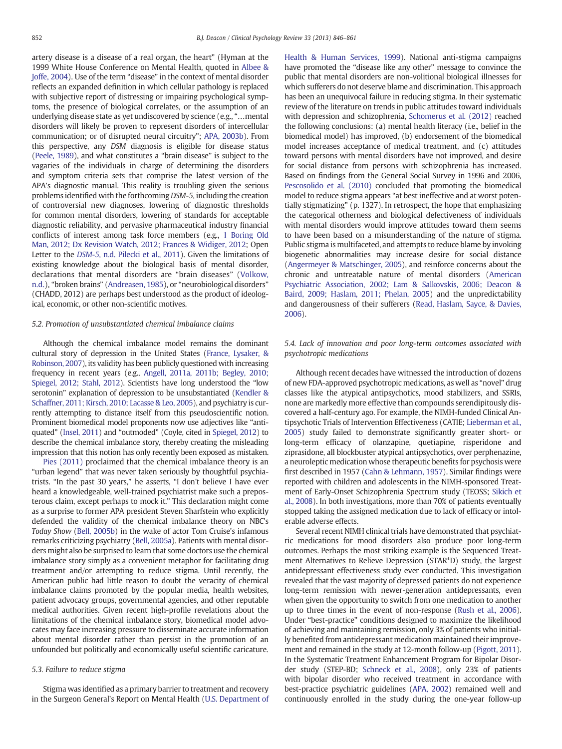artery disease is a disease of a real organ, the heart" (Hyman at the 1999 White House Conference on Mental Health, quoted in [Albee &](#page-12-0) [Joffe, 2004\)](#page-12-0). Use of the term "disease" in the context of mental disorder reflects an expanded definition in which cellular pathology is replaced with subjective report of distressing or impairing psychological symptoms, the presence of biological correlates, or the assumption of an underlying disease state as yet undiscovered by science (e.g., "…mental disorders will likely be proven to represent disorders of intercellular communication; or of disrupted neural circuitry"; [APA, 2003b](#page-12-0)). From this perspective, any DSM diagnosis is eligible for disease status [\(Peele, 1989](#page-14-0)), and what constitutes a "brain disease" is subject to the vagaries of the individuals in charge of determining the disorders and symptom criteria sets that comprise the latest version of the APA's diagnostic manual. This reality is troubling given the serious problems identified with the forthcoming DSM-5, including the creation of controversial new diagnoses, lowering of diagnostic thresholds for common mental disorders, lowering of standards for acceptable diagnostic reliability, and pervasive pharmaceutical industry financial conflicts of interest among task force members (e.g., [1 Boring Old](#page-12-0) [Man, 2012; Dx Revision Watch, 2012; Frances & Widiger, 2012;](#page-12-0) Open Letter to the [DSM-5](#page-14-0), n.d. [Pilecki et al., 2011](#page-14-0)). Given the limitations of existing knowledge about the biological basis of mental disorder, declarations that mental disorders are "brain diseases" ([Volkow,](#page-14-0) [n.d.](#page-14-0)), "broken brains" ([Andreasen, 1985](#page-12-0)), or "neurobiological disorders" (CHADD, 2012) are perhaps best understood as the product of ideological, economic, or other non-scientific motives.

#### 5.2. Promotion of unsubstantiated chemical imbalance claims

Although the chemical imbalance model remains the dominant cultural story of depression in the United States [\(France, Lysaker, &](#page-13-0) [Robinson, 2007\)](#page-13-0), its validity has been publicly questioned with increasing frequency in recent years (e.g., [Angell, 2011a, 2011b; Begley, 2010;](#page-12-0) [Spiegel, 2012; Stahl, 2012](#page-12-0)). Scientists have long understood the "low serotonin" explanation of depression to be unsubstantiated [\(Kendler &](#page-13-0) [Schaffner, 2011; Kirsch, 2010; Lacasse & Leo, 2005](#page-13-0)), and psychiatry is currently attempting to distance itself from this pseudoscientific notion. Prominent biomedical model proponents now use adjectives like "antiquated" [\(Insel, 2011\)](#page-13-0) and "outmoded" (Coyle, cited in [Spiegel, 2012\)](#page-14-0) to describe the chemical imbalance story, thereby creating the misleading impression that this notion has only recently been exposed as mistaken.

[Pies \(2011\)](#page-14-0) proclaimed that the chemical imbalance theory is an "urban legend" that was never taken seriously by thoughtful psychiatrists. "In the past 30 years," he asserts, "I don't believe I have ever heard a knowledgeable, well-trained psychiatrist make such a preposterous claim, except perhaps to mock it." This declaration might come as a surprise to former APA president Steven Sharfstein who explicitly defended the validity of the chemical imbalance theory on NBC's Today Show ([Bell, 2005b\)](#page-12-0) in the wake of actor Tom Cruise's infamous remarks criticizing psychiatry [\(Bell, 2005a\)](#page-12-0). Patients with mental disorders might also be surprised to learn that some doctors use the chemical imbalance story simply as a convenient metaphor for facilitating drug treatment and/or attempting to reduce stigma. Until recently, the American public had little reason to doubt the veracity of chemical imbalance claims promoted by the popular media, health websites, patient advocacy groups, governmental agencies, and other reputable medical authorities. Given recent high-profile revelations about the limitations of the chemical imbalance story, biomedical model advocates may face increasing pressure to disseminate accurate information about mental disorder rather than persist in the promotion of an unfounded but politically and economically useful scientific caricature.

# 5.3. Failure to reduce stigma

Stigma was identified as a primary barrier to treatment and recovery in the Surgeon General's Report on Mental Health [\(U.S. Department of](#page-14-0) [Health & Human Services, 1999\)](#page-14-0). National anti-stigma campaigns have promoted the "disease like any other" message to convince the public that mental disorders are non-volitional biological illnesses for which sufferers do not deserve blame and discrimination. This approach has been an unequivocal failure in reducing stigma. In their systematic review of the literature on trends in public attitudes toward individuals with depression and schizophrenia, [Schomerus et al. \(2012\)](#page-14-0) reached the following conclusions: (a) mental health literacy (i.e., belief in the biomedical model) has improved, (b) endorsement of the biomedical model increases acceptance of medical treatment, and (c) attitudes toward persons with mental disorders have not improved, and desire for social distance from persons with schizophrenia has increased. Based on findings from the General Social Survey in 1996 and 2006, [Pescosolido et al. \(2010\)](#page-14-0) concluded that promoting the biomedical model to reduce stigma appears "at best ineffective and at worst potentially stigmatizing" (p. 1327). In retrospect, the hope that emphasizing the categorical otherness and biological defectiveness of individuals with mental disorders would improve attitudes toward them seems to have been based on a misunderstanding of the nature of stigma. Public stigma is multifaceted, and attempts to reduce blame by invoking biogenetic abnormalities may increase desire for social distance [\(Angermeyer & Matschinger, 2005\)](#page-12-0), and reinforce concerns about the chronic and untreatable nature of mental disorders ([American](#page-12-0) [Psychiatric Association, 2002; Lam & Salkovskis, 2006; Deacon &](#page-12-0) [Baird, 2009; Haslam, 2011; Phelan, 2005](#page-12-0)) and the unpredictability and dangerousness of their sufferers [\(Read, Haslam, Sayce, & Davies,](#page-14-0) [2006\)](#page-14-0).

# 5.4. Lack of innovation and poor long-term outcomes associated with psychotropic medications

Although recent decades have witnessed the introduction of dozens of new FDA-approved psychotropic medications, as well as "novel" drug classes like the atypical antipsychotics, mood stabilizers, and SSRIs, none are markedly more effective than compounds serendipitously discovered a half-century ago. For example, the NIMH-funded Clinical Antipsychotic Trials of Intervention Effectiveness (CATIE; [Lieberman et al.,](#page-13-0) [2005\)](#page-13-0) study failed to demonstrate significantly greater short- or long-term efficacy of olanzapine, quetiapine, risperidone and ziprasidone, all blockbuster atypical antipsychotics, over perphenazine, a neuroleptic medication whose therapeutic benefits for psychosis were first described in 1957 ([Cahn & Lehmann, 1957](#page-12-0)). Similar findings were reported with children and adolescents in the NIMH-sponsored Treatment of Early-Onset Schizophrenia Spectrum study (TEOSS; [Sikich et](#page-14-0) [al., 2008](#page-14-0)). In both investigations, more than 70% of patients eventually stopped taking the assigned medication due to lack of efficacy or intolerable adverse effects.

Several recent NIMH clinical trials have demonstrated that psychiatric medications for mood disorders also produce poor long-term outcomes. Perhaps the most striking example is the Sequenced Treatment Alternatives to Relieve Depression (STAR\*D) study, the largest antidepressant effectiveness study ever conducted. This investigation revealed that the vast majority of depressed patients do not experience long-term remission with newer-generation antidepressants, even when given the opportunity to switch from one medication to another up to three times in the event of non-response [\(Rush et al., 2006\)](#page-14-0). Under "best-practice" conditions designed to maximize the likelihood of achieving and maintaining remission, only 3% of patients who initially benefited from antidepressant medication maintained their improvement and remained in the study at 12-month follow-up [\(Pigott, 2011\)](#page-14-0). In the Systematic Treatment Enhancement Program for Bipolar Disorder study (STEP-BD; [Schneck et al., 2008\)](#page-14-0), only 23% of patients with bipolar disorder who received treatment in accordance with best-practice psychiatric guidelines [\(APA, 2002](#page-12-0)) remained well and continuously enrolled in the study during the one-year follow-up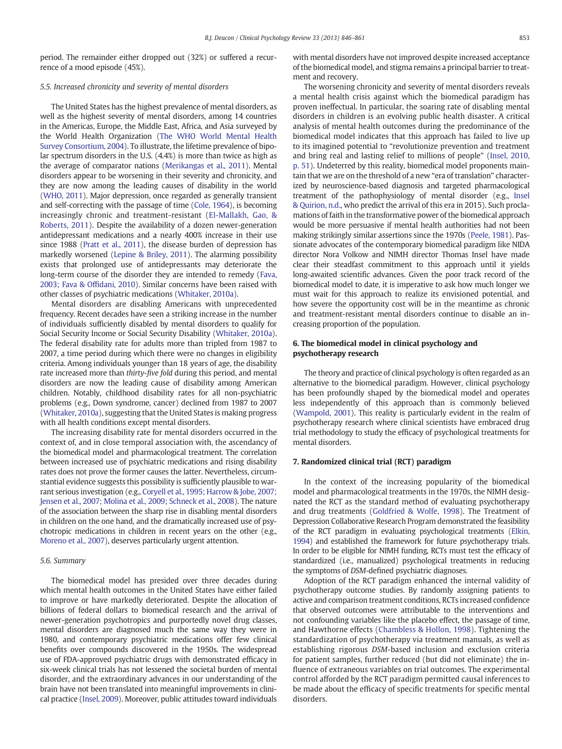period. The remainder either dropped out (32%) or suffered a recurrence of a mood episode (45%).

#### 5.5. Increased chronicity and severity of mental disorders

The United States has the highest prevalence of mental disorders, as well as the highest severity of mental disorders, among 14 countries in the Americas, Europe, the Middle East, Africa, and Asia surveyed by the World Health Organization ([The WHO World Mental Health](#page-14-0) [Survey Consortium, 2004](#page-14-0)). To illustrate, the lifetime prevalence of bipolar spectrum disorders in the U.S. (4.4%) is more than twice as high as the average of comparator nations [\(Merikangas et al., 2011](#page-13-0)). Mental disorders appear to be worsening in their severity and chronicity, and they are now among the leading causes of disability in the world [\(WHO, 2011\)](#page-15-0). Major depression, once regarded as generally transient and self-correcting with the passage of time ([Cole, 1964](#page-12-0)), is becoming increasingly chronic and treatment-resistant [\(El-Mallakh, Gao, &](#page-12-0) [Roberts, 2011](#page-12-0)). Despite the availability of a dozen newer-generation antidepressant medications and a nearly 400% increase in their use since 1988 [\(Pratt et al., 2011](#page-14-0)), the disease burden of depression has markedly worsened ([Lepine & Briley, 2011\)](#page-13-0). The alarming possibility exists that prolonged use of antidepressants may deteriorate the long-term course of the disorder they are intended to remedy ([Fava,](#page-12-0) [2003; Fava & Of](#page-12-0)fidani, 2010). Similar concerns have been raised with other classes of psychiatric medications ([Whitaker, 2010a\)](#page-15-0).

Mental disorders are disabling Americans with unprecedented frequency. Recent decades have seen a striking increase in the number of individuals sufficiently disabled by mental disorders to qualify for Social Security Income or Social Security Disability [\(Whitaker, 2010a](#page-15-0)). The federal disability rate for adults more than tripled from 1987 to 2007, a time period during which there were no changes in eligibility criteria. Among individuals younger than 18 years of age, the disability rate increased more than thirty-five fold during this period, and mental disorders are now the leading cause of disability among American children. Notably, childhood disability rates for all non-psychiatric problems (e.g., Down syndrome, cancer) declined from 1987 to 2007 [\(Whitaker, 2010a](#page-15-0)), suggesting that the United States is making progress with all health conditions except mental disorders.

The increasing disability rate for mental disorders occurred in the context of, and in close temporal association with, the ascendancy of the biomedical model and pharmacological treatment. The correlation between increased use of psychiatric medications and rising disability rates does not prove the former causes the latter. Nevertheless, circumstantial evidence suggests this possibility is sufficiently plausible to warrant serious investigation (e.g., [Coryell et al., 1995; Harrow & Jobe, 2007;](#page-12-0) [Jensen et al., 2007; Molina et al., 2009; Schneck et al., 2008](#page-12-0)). The nature of the association between the sharp rise in disabling mental disorders in children on the one hand, and the dramatically increased use of psychotropic medications in children in recent years on the other (e.g., [Moreno et al., 2007\)](#page-14-0), deserves particularly urgent attention.

# 5.6. Summary

The biomedical model has presided over three decades during which mental health outcomes in the United States have either failed to improve or have markedly deteriorated. Despite the allocation of billions of federal dollars to biomedical research and the arrival of newer-generation psychotropics and purportedly novel drug classes, mental disorders are diagnosed much the same way they were in 1980, and contemporary psychiatric medications offer few clinical benefits over compounds discovered in the 1950s. The widespread use of FDA-approved psychiatric drugs with demonstrated efficacy in six-week clinical trials has not lessened the societal burden of mental disorder, and the extraordinary advances in our understanding of the brain have not been translated into meaningful improvements in clinical practice [\(Insel, 2009](#page-13-0)). Moreover, public attitudes toward individuals

with mental disorders have not improved despite increased acceptance of the biomedical model, and stigma remains a principal barrier to treatment and recovery.

The worsening chronicity and severity of mental disorders reveals a mental health crisis against which the biomedical paradigm has proven ineffectual. In particular, the soaring rate of disabling mental disorders in children is an evolving public health disaster. A critical analysis of mental health outcomes during the predominance of the biomedical model indicates that this approach has failed to live up to its imagined potential to "revolutionize prevention and treatment and bring real and lasting relief to millions of people" [\(Insel, 2010,](#page-13-0) [p. 51\)](#page-13-0). Undeterred by this reality, biomedical model proponents maintain that we are on the threshold of a new "era of translation" characterized by neuroscience-based diagnosis and targeted pharmacological treatment of the pathophysiology of mental disorder (e.g., [Insel](#page-13-0) [& Quirion, n.d.,](#page-13-0) who predict the arrival of this era in 2015). Such proclamations of faith in the transformative power of the biomedical approach would be more persuasive if mental health authorities had not been making strikingly similar assertions since the 1970s [\(Peele, 1981](#page-14-0)). Passionate advocates of the contemporary biomedical paradigm like NIDA director Nora Volkow and NIMH director Thomas Insel have made clear their steadfast commitment to this approach until it yields long-awaited scientific advances. Given the poor track record of the biomedical model to date, it is imperative to ask how much longer we must wait for this approach to realize its envisioned potential, and how severe the opportunity cost will be in the meantime as chronic and treatment-resistant mental disorders continue to disable an increasing proportion of the population.

# 6. The biomedical model in clinical psychology and psychotherapy research

The theory and practice of clinical psychology is often regarded as an alternative to the biomedical paradigm. However, clinical psychology has been profoundly shaped by the biomedical model and operates less independently of this approach than is commonly believed [\(Wampold, 2001\)](#page-14-0). This reality is particularly evident in the realm of psychotherapy research where clinical scientists have embraced drug trial methodology to study the efficacy of psychological treatments for mental disorders.

# 7. Randomized clinical trial (RCT) paradigm

In the context of the increasing popularity of the biomedical model and pharmacological treatments in the 1970s, the NIMH designated the RCT as the standard method of evaluating psychotherapy and drug treatments [\(Goldfried & Wolfe, 1998](#page-13-0)). The Treatment of Depression Collaborative Research Program demonstrated the feasibility of the RCT paradigm in evaluating psychological treatments [\(Elkin,](#page-12-0) [1994](#page-12-0)) and established the framework for future psychotherapy trials. In order to be eligible for NIMH funding, RCTs must test the efficacy of standardized (i.e., manualized) psychological treatments in reducing the symptoms of DSM-defined psychiatric diagnoses.

Adoption of the RCT paradigm enhanced the internal validity of psychotherapy outcome studies. By randomly assigning patients to active and comparison treatment conditions, RCTs increased confidence that observed outcomes were attributable to the interventions and not confounding variables like the placebo effect, the passage of time, and Hawthorne effects [\(Chambless & Hollon, 1998](#page-12-0)). Tightening the standardization of psychotherapy via treatment manuals, as well as establishing rigorous DSM-based inclusion and exclusion criteria for patient samples, further reduced (but did not eliminate) the influence of extraneous variables on trial outcomes. The experimental control afforded by the RCT paradigm permitted causal inferences to be made about the efficacy of specific treatments for specific mental disorders.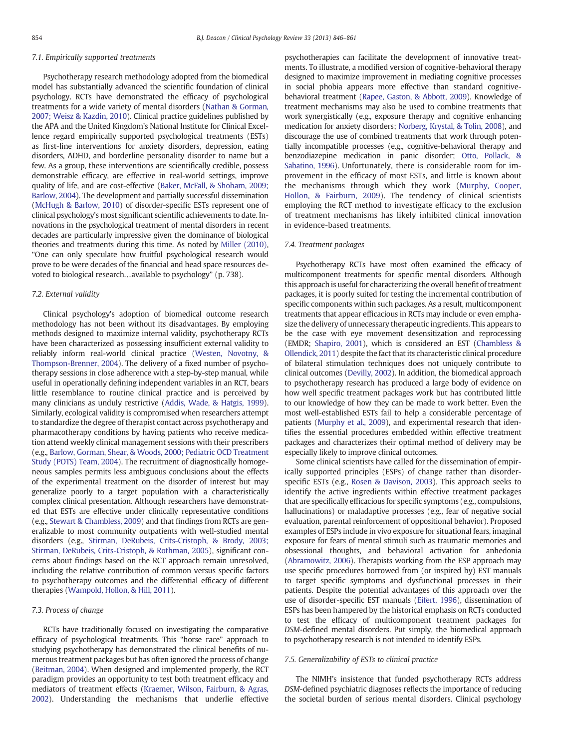# 7.1. Empirically supported treatments

Psychotherapy research methodology adopted from the biomedical model has substantially advanced the scientific foundation of clinical psychology. RCTs have demonstrated the efficacy of psychological treatments for a wide variety of mental disorders ([Nathan & Gorman,](#page-14-0) [2007; Weisz & Kazdin, 2010](#page-14-0)). Clinical practice guidelines published by the APA and the United Kingdom's National Institute for Clinical Excellence regard empirically supported psychological treatments (ESTs) as first-line interventions for anxiety disorders, depression, eating disorders, ADHD, and borderline personality disorder to name but a few. As a group, these interventions are scientifically credible, possess demonstrable efficacy, are effective in real-world settings, improve quality of life, and are cost-effective [\(Baker, McFall, & Shoham, 2009;](#page-12-0) [Barlow, 2004](#page-12-0)). The development and partially successful dissemination [\(McHugh & Barlow, 2010\)](#page-13-0) of disorder-specific ESTs represent one of clinical psychology's most significant scientific achievements to date. Innovations in the psychological treatment of mental disorders in recent decades are particularly impressive given the dominance of biological theories and treatments during this time. As noted by [Miller \(2010\),](#page-13-0) "One can only speculate how fruitful psychological research would prove to be were decades of the financial and head space resources devoted to biological research…available to psychology" (p. 738).

# 7.2. External validity

Clinical psychology's adoption of biomedical outcome research methodology has not been without its disadvantages. By employing methods designed to maximize internal validity, psychotherapy RCTs have been characterized as possessing insufficient external validity to reliably inform real-world clinical practice ([Westen, Novotny, &](#page-15-0) [Thompson-Brenner, 2004](#page-15-0)). The delivery of a fixed number of psychotherapy sessions in close adherence with a step-by-step manual, while useful in operationally defining independent variables in an RCT, bears little resemblance to routine clinical practice and is perceived by many clinicians as unduly restrictive ([Addis, Wade, & Hatgis, 1999\)](#page-12-0). Similarly, ecological validity is compromised when researchers attempt to standardize the degree of therapist contact across psychotherapy and pharmacotherapy conditions by having patients who receive medication attend weekly clinical management sessions with their prescribers (e.g., [Barlow, Gorman, Shear, & Woods, 2000; Pediatric OCD Treatment](#page-12-0) [Study \(POTS\) Team, 2004](#page-12-0)). The recruitment of diagnostically homogeneous samples permits less ambiguous conclusions about the effects of the experimental treatment on the disorder of interest but may generalize poorly to a target population with a characteristically complex clinical presentation. Although researchers have demonstrated that ESTs are effective under clinically representative conditions (e.g., [Stewart & Chambless, 2009](#page-14-0)) and that findings from RCTs are generalizable to most community outpatients with well-studied mental disorders (e.g., [Stirman, DeRubeis, Crits-Cristoph, & Brody, 2003;](#page-14-0) [Stirman, DeRubeis, Crits-Cristoph, & Rothman, 2005](#page-14-0)), significant concerns about findings based on the RCT approach remain unresolved, including the relative contribution of common versus specific factors to psychotherapy outcomes and the differential efficacy of different therapies [\(Wampold, Hollon, & Hill, 2011\)](#page-14-0).

# 7.3. Process of change

RCTs have traditionally focused on investigating the comparative efficacy of psychological treatments. This "horse race" approach to studying psychotherapy has demonstrated the clinical benefits of numerous treatment packages but has often ignored the process of change [\(Beitman, 2004](#page-12-0)). When designed and implemented properly, the RCT paradigm provides an opportunity to test both treatment efficacy and mediators of treatment effects [\(Kraemer, Wilson, Fairburn, & Agras,](#page-13-0) [2002\)](#page-13-0). Understanding the mechanisms that underlie effective psychotherapies can facilitate the development of innovative treatments. To illustrate, a modified version of cognitive-behavioral therapy designed to maximize improvement in mediating cognitive processes in social phobia appears more effective than standard cognitivebehavioral treatment [\(Rapee, Gaston, & Abbott, 2009\)](#page-14-0). Knowledge of treatment mechanisms may also be used to combine treatments that work synergistically (e.g., exposure therapy and cognitive enhancing medication for anxiety disorders; [Norberg, Krystal, & Tolin, 2008\)](#page-14-0), and discourage the use of combined treatments that work through potentially incompatible processes (e.g., cognitive-behavioral therapy and benzodiazepine medication in panic disorder; [Otto, Pollack, &](#page-14-0) [Sabatino, 1996](#page-14-0)). Unfortunately, there is considerable room for improvement in the efficacy of most ESTs, and little is known about the mechanisms through which they work [\(Murphy, Cooper,](#page-14-0) [Hollon, & Fairburn, 2009](#page-14-0)). The tendency of clinical scientists employing the RCT method to investigate efficacy to the exclusion of treatment mechanisms has likely inhibited clinical innovation in evidence-based treatments.

#### 7.4. Treatment packages

Psychotherapy RCTs have most often examined the efficacy of multicomponent treatments for specific mental disorders. Although this approach is useful for characterizing the overall benefit of treatment packages, it is poorly suited for testing the incremental contribution of specific components within such packages. As a result, multicomponent treatments that appear efficacious in RCTs may include or even emphasize the delivery of unnecessary therapeutic ingredients. This appears to be the case with eye movement desensitization and reprocessing (EMDR; [Shapiro, 2001](#page-14-0)), which is considered an EST [\(Chambless &](#page-12-0) [Ollendick, 2011](#page-12-0)) despite the fact that its characteristic clinical procedure of bilateral stimulation techniques does not uniquely contribute to clinical outcomes ([Devilly, 2002](#page-12-0)). In addition, the biomedical approach to psychotherapy research has produced a large body of evidence on how well specific treatment packages work but has contributed little to our knowledge of how they can be made to work better. Even the most well-established ESTs fail to help a considerable percentage of patients ([Murphy et al., 2009\)](#page-14-0), and experimental research that identifies the essential procedures embedded within effective treatment packages and characterizes their optimal method of delivery may be especially likely to improve clinical outcomes.

Some clinical scientists have called for the dissemination of empirically supported principles (ESPs) of change rather than disorderspecific ESTs (e.g., [Rosen & Davison, 2003\)](#page-14-0). This approach seeks to identify the active ingredients within effective treatment packages that are specifically efficacious for specific symptoms (e.g., compulsions, hallucinations) or maladaptive processes (e.g., fear of negative social evaluation, parental reinforcement of oppositional behavior). Proposed examples of ESPs include in vivo exposure for situational fears, imaginal exposure for fears of mental stimuli such as traumatic memories and obsessional thoughts, and behavioral activation for anhedonia [\(Abramowitz, 2006](#page-12-0)). Therapists working from the ESP approach may use specific procedures borrowed from (or inspired by) EST manuals to target specific symptoms and dysfunctional processes in their patients. Despite the potential advantages of this approach over the use of disorder-specific EST manuals [\(Eifert, 1996](#page-12-0)), dissemination of ESPs has been hampered by the historical emphasis on RCTs conducted to test the efficacy of multicomponent treatment packages for DSM-defined mental disorders. Put simply, the biomedical approach to psychotherapy research is not intended to identify ESPs.

# 7.5. Generalizability of ESTs to clinical practice

The NIMH's insistence that funded psychotherapy RCTs address DSM-defined psychiatric diagnoses reflects the importance of reducing the societal burden of serious mental disorders. Clinical psychology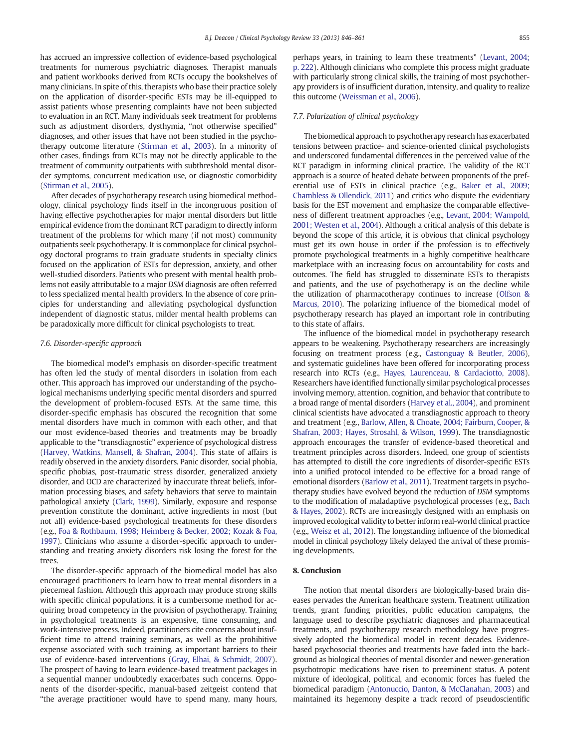has accrued an impressive collection of evidence-based psychological treatments for numerous psychiatric diagnoses. Therapist manuals and patient workbooks derived from RCTs occupy the bookshelves of many clinicians. In spite of this, therapists who base their practice solely on the application of disorder-specific ESTs may be ill-equipped to assist patients whose presenting complaints have not been subjected to evaluation in an RCT. Many individuals seek treatment for problems such as adjustment disorders, dysthymia, "not otherwise specified" diagnoses, and other issues that have not been studied in the psychotherapy outcome literature [\(Stirman et al., 2003\)](#page-14-0). In a minority of other cases, findings from RCTs may not be directly applicable to the treatment of community outpatients with subthreshold mental disorder symptoms, concurrent medication use, or diagnostic comorbidity [\(Stirman et al., 2005\)](#page-14-0).

After decades of psychotherapy research using biomedical methodology, clinical psychology finds itself in the incongruous position of having effective psychotherapies for major mental disorders but little empirical evidence from the dominant RCT paradigm to directly inform treatment of the problems for which many (if not most) community outpatients seek psychotherapy. It is commonplace for clinical psychology doctoral programs to train graduate students in specialty clinics focused on the application of ESTs for depression, anxiety, and other well-studied disorders. Patients who present with mental health problems not easily attributable to a major DSM diagnosis are often referred to less specialized mental health providers. In the absence of core principles for understanding and alleviating psychological dysfunction independent of diagnostic status, milder mental health problems can be paradoxically more difficult for clinical psychologists to treat.

#### 7.6. Disorder-specific approach

The biomedical model's emphasis on disorder-specific treatment has often led the study of mental disorders in isolation from each other. This approach has improved our understanding of the psychological mechanisms underlying specific mental disorders and spurred the development of problem-focused ESTs. At the same time, this disorder-specific emphasis has obscured the recognition that some mental disorders have much in common with each other, and that our most evidence-based theories and treatments may be broadly applicable to the "transdiagnostic" experience of psychological distress [\(Harvey, Watkins, Mansell, & Shafran, 2004](#page-13-0)). This state of affairs is readily observed in the anxiety disorders. Panic disorder, social phobia, specific phobias, post-traumatic stress disorder, generalized anxiety disorder, and OCD are characterized by inaccurate threat beliefs, information processing biases, and safety behaviors that serve to maintain pathological anxiety ([Clark, 1999\)](#page-12-0). Similarly, exposure and response prevention constitute the dominant, active ingredients in most (but not all) evidence-based psychological treatments for these disorders (e.g., [Foa & Rothbaum, 1998; Heimberg & Becker, 2002; Kozak & Foa,](#page-13-0) [1997](#page-13-0)). Clinicians who assume a disorder-specific approach to understanding and treating anxiety disorders risk losing the forest for the trees.

The disorder-specific approach of the biomedical model has also encouraged practitioners to learn how to treat mental disorders in a piecemeal fashion. Although this approach may produce strong skills with specific clinical populations, it is a cumbersome method for acquiring broad competency in the provision of psychotherapy. Training in psychological treatments is an expensive, time consuming, and work-intensive process. Indeed, practitioners cite concerns about insufficient time to attend training seminars, as well as the prohibitive expense associated with such training, as important barriers to their use of evidence-based interventions [\(Gray, Elhai, & Schmidt, 2007](#page-13-0)). The prospect of having to learn evidence-based treatment packages in a sequential manner undoubtedly exacerbates such concerns. Opponents of the disorder-specific, manual-based zeitgeist contend that "the average practitioner would have to spend many, many hours, perhaps years, in training to learn these treatments" [\(Levant, 2004;](#page-13-0) [p. 222](#page-13-0)). Although clinicians who complete this process might graduate with particularly strong clinical skills, the training of most psychotherapy providers is of insufficient duration, intensity, and quality to realize this outcome [\(Weissman et al., 2006](#page-15-0)).

### 7.7. Polarization of clinical psychology

The biomedical approach to psychotherapy research has exacerbated tensions between practice- and science-oriented clinical psychologists and underscored fundamental differences in the perceived value of the RCT paradigm in informing clinical practice. The validity of the RCT approach is a source of heated debate between proponents of the preferential use of ESTs in clinical practice (e.g., [Baker et al., 2009;](#page-12-0) [Chambless & Ollendick, 2011](#page-12-0)) and critics who dispute the evidentiary basis for the EST movement and emphasize the comparable effectiveness of different treatment approaches (e.g., [Levant, 2004; Wampold,](#page-13-0) [2001; Westen et al., 2004](#page-13-0)). Although a critical analysis of this debate is beyond the scope of this article, it is obvious that clinical psychology must get its own house in order if the profession is to effectively promote psychological treatments in a highly competitive healthcare marketplace with an increasing focus on accountability for costs and outcomes. The field has struggled to disseminate ESTs to therapists and patients, and the use of psychotherapy is on the decline while the utilization of pharmacotherapy continues to increase [\(Olfson &](#page-14-0) [Marcus, 2010\)](#page-14-0). The polarizing influence of the biomedical model of psychotherapy research has played an important role in contributing to this state of affairs.

The influence of the biomedical model in psychotherapy research appears to be weakening. Psychotherapy researchers are increasingly focusing on treatment process (e.g., [Castonguay & Beutler, 2006](#page-12-0)), and systematic guidelines have been offered for incorporating process research into RCTs (e.g., [Hayes, Laurenceau, & Cardaciotto, 2008](#page-13-0)). Researchers have identified functionally similar psychological processes involving memory, attention, cognition, and behavior that contribute to a broad range of mental disorders [\(Harvey et al., 2004](#page-13-0)), and prominent clinical scientists have advocated a transdiagnostic approach to theory and treatment (e.g., [Barlow, Allen, & Choate, 2004; Fairburn, Cooper, &](#page-12-0) [Shafran, 2003; Hayes, Strosahl, & Wilson, 1999\)](#page-12-0). The transdiagnostic approach encourages the transfer of evidence-based theoretical and treatment principles across disorders. Indeed, one group of scientists has attempted to distill the core ingredients of disorder-specific ESTs into a unified protocol intended to be effective for a broad range of emotional disorders ([Barlow et al., 2011](#page-12-0)). Treatment targets in psychotherapy studies have evolved beyond the reduction of DSM symptoms to the modification of maladaptive psychological processes (e.g., [Bach](#page-12-0) [& Hayes, 2002\)](#page-12-0). RCTs are increasingly designed with an emphasis on improved ecological validity to better inform real-world clinical practice (e.g., [Weisz et al., 2012\)](#page-15-0). The longstanding influence of the biomedical model in clinical psychology likely delayed the arrival of these promising developments.

#### 8. Conclusion

The notion that mental disorders are biologically-based brain diseases pervades the American healthcare system. Treatment utilization trends, grant funding priorities, public education campaigns, the language used to describe psychiatric diagnoses and pharmaceutical treatments, and psychotherapy research methodology have progressively adopted the biomedical model in recent decades. Evidencebased psychosocial theories and treatments have faded into the background as biological theories of mental disorder and newer-generation psychotropic medications have risen to preeminent status. A potent mixture of ideological, political, and economic forces has fueled the biomedical paradigm [\(Antonuccio, Danton, & McClanahan, 2003\)](#page-12-0) and maintained its hegemony despite a track record of pseudoscientific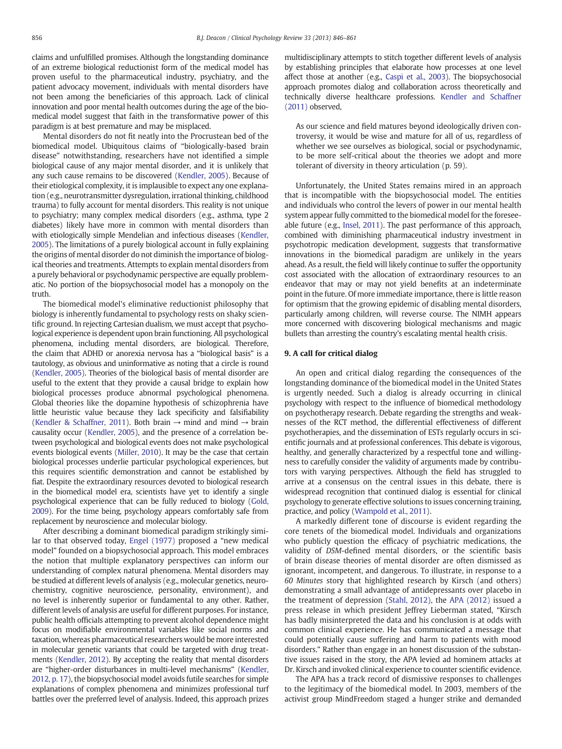claims and unfulfilled promises. Although the longstanding dominance of an extreme biological reductionist form of the medical model has proven useful to the pharmaceutical industry, psychiatry, and the patient advocacy movement, individuals with mental disorders have not been among the beneficiaries of this approach. Lack of clinical innovation and poor mental health outcomes during the age of the biomedical model suggest that faith in the transformative power of this paradigm is at best premature and may be misplaced.

Mental disorders do not fit neatly into the Procrustean bed of the biomedical model. Ubiquitous claims of "biologically-based brain disease" notwithstanding, researchers have not identified a simple biological cause of any major mental disorder, and it is unlikely that any such cause remains to be discovered ([Kendler, 2005\)](#page-13-0). Because of their etiological complexity, it is implausible to expect any one explanation (e.g., neurotransmitter dysregulation, irrational thinking, childhood trauma) to fully account for mental disorders. This reality is not unique to psychiatry; many complex medical disorders (e.g., asthma, type 2 diabetes) likely have more in common with mental disorders than with etiologically simple Mendelian and infectious diseases [\(Kendler,](#page-13-0) [2005\)](#page-13-0). The limitations of a purely biological account in fully explaining the origins of mental disorder do not diminish the importance of biological theories and treatments. Attempts to explain mental disorders from a purely behavioral or psychodynamic perspective are equally problematic. No portion of the biopsychosocial model has a monopoly on the truth.

The biomedical model's eliminative reductionist philosophy that biology is inherently fundamental to psychology rests on shaky scientific ground. In rejecting Cartesian dualism, we must accept that psychological experience is dependent upon brain functioning. All psychological phenomena, including mental disorders, are biological. Therefore, the claim that ADHD or anorexia nervosa has a "biological basis" is a tautology, as obvious and uninformative as noting that a circle is round [\(Kendler, 2005](#page-13-0)). Theories of the biological basis of mental disorder are useful to the extent that they provide a causal bridge to explain how biological processes produce abnormal psychological phenomena. Global theories like the dopamine hypothesis of schizophrenia have little heuristic value because they lack specificity and falsifiability [\(Kendler & Schaffner, 2011\)](#page-13-0). Both brain  $\rightarrow$  mind and mind  $\rightarrow$  brain causality occur [\(Kendler, 2005\)](#page-13-0), and the presence of a correlation between psychological and biological events does not make psychological events biological events ([Miller, 2010\)](#page-13-0). It may be the case that certain biological processes underlie particular psychological experiences, but this requires scientific demonstration and cannot be established by fiat. Despite the extraordinary resources devoted to biological research in the biomedical model era, scientists have yet to identify a single psychological experience that can be fully reduced to biology [\(Gold,](#page-13-0) [2009](#page-13-0)). For the time being, psychology appears comfortably safe from replacement by neuroscience and molecular biology.

After describing a dominant biomedical paradigm strikingly similar to that observed today, [Engel \(1977\)](#page-12-0) proposed a "new medical model" founded on a biopsychosocial approach. This model embraces the notion that multiple explanatory perspectives can inform our understanding of complex natural phenomena. Mental disorders may be studied at different levels of analysis (e.g., molecular genetics, neurochemistry, cognitive neuroscience, personality, environment), and no level is inherently superior or fundamental to any other. Rather, different levels of analysis are useful for different purposes. For instance, public health officials attempting to prevent alcohol dependence might focus on modifiable environmental variables like social norms and taxation, whereas pharmaceutical researchers would be more interested in molecular genetic variants that could be targeted with drug treatments [\(Kendler, 2012\)](#page-13-0). By accepting the reality that mental disorders are "higher-order disturbances in multi-level mechanisms" [\(Kendler,](#page-13-0) [2012, p. 17\)](#page-13-0), the biopsychosocial model avoids futile searches for simple explanations of complex phenomena and minimizes professional turf battles over the preferred level of analysis. Indeed, this approach prizes

multidisciplinary attempts to stitch together different levels of analysis by establishing principles that elaborate how processes at one level affect those at another (e.g., [Caspi et al., 2003](#page-12-0)). The biopsychosocial approach promotes dialog and collaboration across theoretically and technically diverse healthcare professions. [Kendler and Schaffner](#page-13-0) [\(2011\)](#page-13-0) observed,

As our science and field matures beyond ideologically driven controversy, it would be wise and mature for all of us, regardless of whether we see ourselves as biological, social or psychodynamic, to be more self-critical about the theories we adopt and more tolerant of diversity in theory articulation (p. 59).

Unfortunately, the United States remains mired in an approach that is incompatible with the biopsychosocial model. The entities and individuals who control the levers of power in our mental health system appear fully committed to the biomedical model for the foreseeable future (e.g., [Insel, 2011\)](#page-13-0). The past performance of this approach, combined with diminishing pharmaceutical industry investment in psychotropic medication development, suggests that transformative innovations in the biomedical paradigm are unlikely in the years ahead. As a result, the field will likely continue to suffer the opportunity cost associated with the allocation of extraordinary resources to an endeavor that may or may not yield benefits at an indeterminate point in the future. Of more immediate importance, there is little reason for optimism that the growing epidemic of disabling mental disorders, particularly among children, will reverse course. The NIMH appears more concerned with discovering biological mechanisms and magic bullets than arresting the country's escalating mental health crisis.

### 9. A call for critical dialog

An open and critical dialog regarding the consequences of the longstanding dominance of the biomedical model in the United States is urgently needed. Such a dialog is already occurring in clinical psychology with respect to the influence of biomedical methodology on psychotherapy research. Debate regarding the strengths and weaknesses of the RCT method, the differential effectiveness of different psychotherapies, and the dissemination of ESTs regularly occurs in scientific journals and at professional conferences. This debate is vigorous, healthy, and generally characterized by a respectful tone and willingness to carefully consider the validity of arguments made by contributors with varying perspectives. Although the field has struggled to arrive at a consensus on the central issues in this debate, there is widespread recognition that continued dialog is essential for clinical psychology to generate effective solutions to issues concerning training, practice, and policy [\(Wampold et al., 2011](#page-14-0)).

A markedly different tone of discourse is evident regarding the core tenets of the biomedical model. Individuals and organizations who publicly question the efficacy of psychiatric medications, the validity of DSM-defined mental disorders, or the scientific basis of brain disease theories of mental disorder are often dismissed as ignorant, incompetent, and dangerous. To illustrate, in response to a 60 Minutes story that highlighted research by Kirsch (and others) demonstrating a small advantage of antidepressants over placebo in the treatment of depression [\(Stahl, 2012](#page-14-0)), the [APA \(2012\)](#page-12-0) issued a press release in which president Jeffrey Lieberman stated, "Kirsch has badly misinterpreted the data and his conclusion is at odds with common clinical experience. He has communicated a message that could potentially cause suffering and harm to patients with mood disorders." Rather than engage in an honest discussion of the substantive issues raised in the story, the APA levied ad hominem attacks at Dr. Kirsch and invoked clinical experience to counter scientific evidence.

The APA has a track record of dismissive responses to challenges to the legitimacy of the biomedical model. In 2003, members of the activist group MindFreedom staged a hunger strike and demanded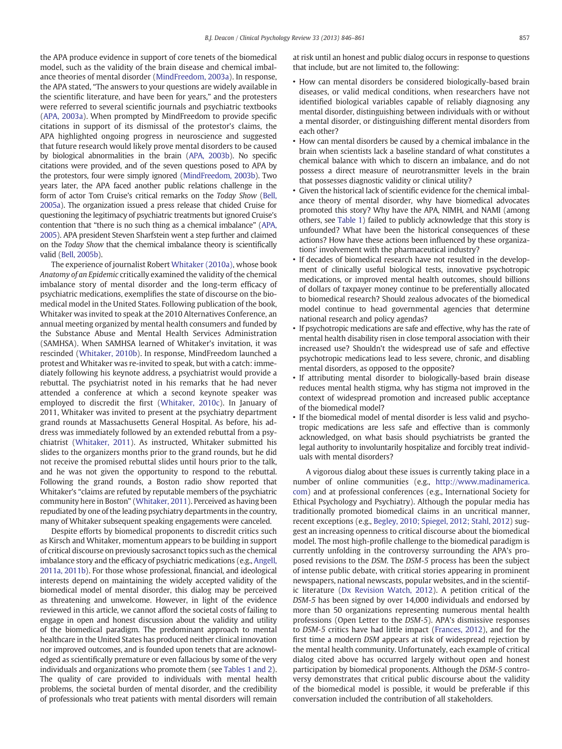the APA produce evidence in support of core tenets of the biomedical model, such as the validity of the brain disease and chemical imbalance theories of mental disorder [\(MindFreedom, 2003a\)](#page-13-0). In response, the APA stated, "The answers to your questions are widely available in the scientific literature, and have been for years," and the protesters were referred to several scientific journals and psychiatric textbooks [\(APA, 2003a\)](#page-12-0). When prompted by MindFreedom to provide specific citations in support of its dismissal of the protestor's claims, the APA highlighted ongoing progress in neuroscience and suggested that future research would likely prove mental disorders to be caused by biological abnormalities in the brain [\(APA, 2003b](#page-12-0)). No specific citations were provided, and of the seven questions posed to APA by the protestors, four were simply ignored [\(MindFreedom, 2003b](#page-13-0)). Two years later, the APA faced another public relations challenge in the form of actor Tom Cruise's critical remarks on the Today Show ([Bell,](#page-12-0) [2005a](#page-12-0)). The organization issued a press release that chided Cruise for questioning the legitimacy of psychiatric treatments but ignored Cruise's contention that "there is no such thing as a chemical imbalance" [\(APA,](#page-12-0) [2005](#page-12-0)). APA president Steven Sharfstein went a step further and claimed on the Today Show that the chemical imbalance theory is scientifically valid [\(Bell, 2005b\)](#page-12-0).

The experience of journalist Robert [Whitaker \(2010a\),](#page-15-0) whose book Anatomy of an Epidemic critically examined the validity of the chemical imbalance story of mental disorder and the long-term efficacy of psychiatric medications, exemplifies the state of discourse on the biomedical model in the United States. Following publication of the book, Whitaker was invited to speak at the 2010 Alternatives Conference, an annual meeting organized by mental health consumers and funded by the Substance Abuse and Mental Health Services Administration (SAMHSA). When SAMHSA learned of Whitaker's invitation, it was rescinded ([Whitaker, 2010b](#page-15-0)). In response, MindFreedom launched a protest and Whitaker was re-invited to speak, but with a catch: immediately following his keynote address, a psychiatrist would provide a rebuttal. The psychiatrist noted in his remarks that he had never attended a conference at which a second keynote speaker was employed to discredit the first [\(Whitaker, 2010c\)](#page-15-0). In January of 2011, Whitaker was invited to present at the psychiatry department grand rounds at Massachusetts General Hospital. As before, his address was immediately followed by an extended rebuttal from a psychiatrist ([Whitaker, 2011](#page-15-0)). As instructed, Whitaker submitted his slides to the organizers months prior to the grand rounds, but he did not receive the promised rebuttal slides until hours prior to the talk, and he was not given the opportunity to respond to the rebuttal. Following the grand rounds, a Boston radio show reported that Whitaker's "claims are refuted by reputable members of the psychiatric community here in Boston" [\(Whitaker, 2011\)](#page-15-0). Perceived as having been repudiated by one of the leading psychiatry departments in the country, many of Whitaker subsequent speaking engagements were canceled.

Despite efforts by biomedical proponents to discredit critics such as Kirsch and Whitaker, momentum appears to be building in support of critical discourse on previously sacrosanct topics such as the chemical imbalance story and the efficacy of psychiatric medications (e.g., [Angell,](#page-12-0) [2011a, 2011b\)](#page-12-0). For those whose professional, financial, and ideological interests depend on maintaining the widely accepted validity of the biomedical model of mental disorder, this dialog may be perceived as threatening and unwelcome. However, in light of the evidence reviewed in this article, we cannot afford the societal costs of failing to engage in open and honest discussion about the validity and utility of the biomedical paradigm. The predominant approach to mental healthcare in the United States has produced neither clinical innovation nor improved outcomes, and is founded upon tenets that are acknowledged as scientifically premature or even fallacious by some of the very individuals and organizations who promote them (see [Tables 1 and 2](#page-3-0)). The quality of care provided to individuals with mental health problems, the societal burden of mental disorder, and the credibility of professionals who treat patients with mental disorders will remain at risk until an honest and public dialog occurs in response to questions that include, but are not limited to, the following:

- How can mental disorders be considered biologically-based brain diseases, or valid medical conditions, when researchers have not identified biological variables capable of reliably diagnosing any mental disorder, distinguishing between individuals with or without a mental disorder, or distinguishing different mental disorders from each other?
- How can mental disorders be caused by a chemical imbalance in the brain when scientists lack a baseline standard of what constitutes a chemical balance with which to discern an imbalance, and do not possess a direct measure of neurotransmitter levels in the brain that possesses diagnostic validity or clinical utility?
- Given the historical lack of scientific evidence for the chemical imbalance theory of mental disorder, why have biomedical advocates promoted this story? Why have the APA, NIMH, and NAMI (among others, see [Table 1](#page-3-0)) failed to publicly acknowledge that this story is unfounded? What have been the historical consequences of these actions? How have these actions been influenced by these organizations' involvement with the pharmaceutical industry?
- If decades of biomedical research have not resulted in the development of clinically useful biological tests, innovative psychotropic medications, or improved mental health outcomes, should billions of dollars of taxpayer money continue to be preferentially allocated to biomedical research? Should zealous advocates of the biomedical model continue to head governmental agencies that determine national research and policy agendas?
- If psychotropic medications are safe and effective, why has the rate of mental health disability risen in close temporal association with their increased use? Shouldn't the widespread use of safe and effective psychotropic medications lead to less severe, chronic, and disabling mental disorders, as opposed to the opposite?
- If attributing mental disorder to biologically-based brain disease reduces mental health stigma, why has stigma not improved in the context of widespread promotion and increased public acceptance of the biomedical model?
- If the biomedical model of mental disorder is less valid and psychotropic medications are less safe and effective than is commonly acknowledged, on what basis should psychiatrists be granted the legal authority to involuntarily hospitalize and forcibly treat individuals with mental disorders?

A vigorous dialog about these issues is currently taking place in a number of online communities (e.g., [http://www.madinamerica.](http://www.madinamerica.com) [com\)](http://www.madinamerica.com) and at professional conferences (e.g., International Society for Ethical Psychology and Psychiatry). Although the popular media has traditionally promoted biomedical claims in an uncritical manner, recent exceptions (e.g., [Begley, 2010; Spiegel, 2012; Stahl, 2012](#page-12-0)) suggest an increasing openness to critical discourse about the biomedical model. The most high-profile challenge to the biomedical paradigm is currently unfolding in the controversy surrounding the APA's proposed revisions to the DSM. The DSM-5 process has been the subject of intense public debate, with critical stories appearing in prominent newspapers, national newscasts, popular websites, and in the scientific literature [\(Dx Revision Watch, 2012\)](#page-14-0). A petition critical of the DSM-5 has been signed by over 14,000 individuals and endorsed by more than 50 organizations representing numerous mental health professions (Open Letter to the DSM-5). APA's dismissive responses to DSM-5 critics have had little impact [\(Frances, 2012](#page-13-0)), and for the first time a modern DSM appears at risk of widespread rejection by the mental health community. Unfortunately, each example of critical dialog cited above has occurred largely without open and honest participation by biomedical proponents. Although the DSM-5 controversy demonstrates that critical public discourse about the validity of the biomedical model is possible, it would be preferable if this conversation included the contribution of all stakeholders.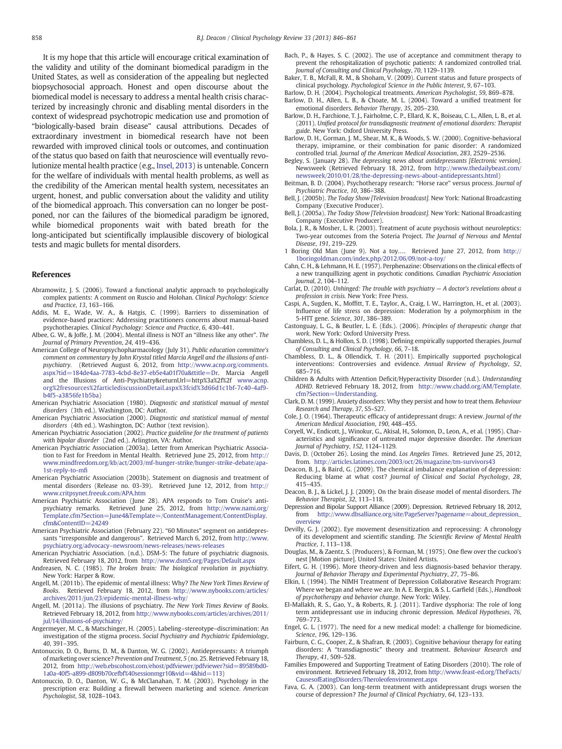<span id="page-12-0"></span>It is my hope that this article will encourage critical examination of the validity and utility of the dominant biomedical paradigm in the United States, as well as consideration of the appealing but neglected biopsychosocial approach. Honest and open discourse about the biomedical model is necessary to address a mental health crisis characterized by increasingly chronic and disabling mental disorders in the context of widespread psychotropic medication use and promotion of "biologically-based brain disease" causal attributions. Decades of extraordinary investment in biomedical research have not been rewarded with improved clinical tools or outcomes, and continuation of the status quo based on faith that neuroscience will eventually revolutionize mental health practice (e.g., [Insel, 2013\)](#page-13-0) is untenable. Concern for the welfare of individuals with mental health problems, as well as the credibility of the American mental health system, necessitates an urgent, honest, and public conversation about the validity and utility of the biomedical approach. This conversation can no longer be postponed, nor can the failures of the biomedical paradigm be ignored, while biomedical proponents wait with bated breath for the long-anticipated but scientifically implausible discovery of biological tests and magic bullets for mental disorders.

#### References

- Abramowitz, J. S. (2006). Toward a functional analytic approach to psychologically complex patients: A comment on Ruscio and Holohan. Clinical Psychology: Science and Practice, 13, 163–166.
- Addis, M. E., Wade, W. A., & Hatgis, C. (1999). Barriers to dissemination of evidence-based practices: Addressing practitioners concerns about manual-based psychotherapies. Clinical Psychology: Science and Practice, 6, 430–441.
- Albee, G. W., & Joffe, J. M. (2004). Mental illness is NOT an "illness like any other". The Journal of Primary Prevention, 24, 419–436.
- American College of Neuropsychopharmacology (July 31). Public education committee's comment on commentary by John Krystal titled Marcia Angell and the illusions of antipsychiatry. (Retrieved August 6, 2012, from [http://www.acnp.org/comments.](http://www.acnp.org/comments.aspx?tid=184de4aa-7783-4cbd-8e37-eb5e4a01f70a&ttitle=Dr) [aspx?tid=184de4aa-7783-4cbd-8e37-eb5e4a01f70a&ttitle=Dr](http://www.acnp.org/comments.aspx?tid=184de4aa-7783-4cbd-8e37-eb5e4a01f70a&ttitle=Dr). Marcia Angell and the Illusions of Anti-Psychiatry&returnUrl=http%3a%2f%2f [www.acnp.](http://www.acnp.org%2fresources%2farticlediscussionDetail.aspx%3fcid%3d66d1c1bf-7c40-4af9-b4f5-a3856fe1b5ba) [org%2fresources%2farticlediscussionDetail.aspx%3fcid%3d66d1c1bf-7c40-4af9](http://www.acnp.org%2fresources%2farticlediscussionDetail.aspx%3fcid%3d66d1c1bf-7c40-4af9-b4f5-a3856fe1b5ba) [b4f5-a3856fe1b5ba\)](http://www.acnp.org%2fresources%2farticlediscussionDetail.aspx%3fcid%3d66d1c1bf-7c40-4af9-b4f5-a3856fe1b5ba)
- American Psychiatric Association (1980). Diagnostic and statistical manual of mental disorders (3th ed.). Washington, DC: Author.
- American Psychiatric Association (2000). Diagnostic and statistical manual of mental disorders (4th ed.). Washington, DC: Author (text revision).
- American Psychiatric Association (2002). Practice guideline for the treatment of patients with bipolar disorder (2nd ed.). Arlington, VA: Author.
- American Psychiatric Association (2003a). Letter from American Psychiatric Association to Fast for Freedom in Mental Health. Retrieved June 25, 2012, from [http://](http://www.mindfreedom.org/kb/act/2003/mf-hunger-strike/hunger-strike-debate/apa-1st-reply-to-mfi) [www.mindfreedom.org/kb/act/2003/mf-hunger-strike/hunger-strike-debate/apa-](http://www.mindfreedom.org/kb/act/2003/mf-hunger-strike/hunger-strike-debate/apa-1st-reply-to-mfi)[1st-reply-to-m](http://www.mindfreedom.org/kb/act/2003/mf-hunger-strike/hunger-strike-debate/apa-1st-reply-to-mfi)fi
- American Psychiatric Association (2003b). Statement on diagnosis and treatment of mental disorders (Release no. 03-39). Retrieved June 12, 2012, from [http://](http://www.critpsynet.freeuk.com/APA.htm) [www.critpsynet.freeuk.com/APA.htm](http://www.critpsynet.freeuk.com/APA.htm)
- American Psychiatric Association (June 28). APA responds to Tom Cruise's antipsychiatry remarks. Retrieved June 25, 2012, from [http://www.nami.org/](http://www.nami.org/Template.cfm?Section=June4&Template=/ContentManagement/ContentDisplay.cfm&ContentID=24249) [Template.cfm?Section=June4&Template=/ContentManagement/ContentDisplay.](http://www.nami.org/Template.cfm?Section=June4&Template=/ContentManagement/ContentDisplay.cfm&ContentID=24249) [cfm&ContentID=24249](http://www.nami.org/Template.cfm?Section=June4&Template=/ContentManagement/ContentDisplay.cfm&ContentID=24249)
- American Psychiatric Association (February 22). "60 Minutes" segment on antidepressants "irresponsible and dangerous". Retrieved March 6, 2012, from [http://www.](http://www.psychiatry.org/advocacy--newsroom/news-releases/news-releases) psychiatry.org/advocacy–[newsroom/news-releases/news-releases](http://www.psychiatry.org/advocacy--newsroom/news-releases/news-releases)
- American Psychiatric Association. (n.d.). DSM-5: The future of psychiatric diagnosis. Retrieved February 18, 2012, from <http://www.dsm5.org/Pages/Default.aspx>
- Andreasen, N. C. (1985). The broken brain: The biological revolution in psychiatry. New York: Harper & Row.
- Angell, M. (2011b). The epidemic of mental illness: Why? The New York Times Review of Books. Retrieved February 18, 2012, from [http://www.nybooks.com/articles/](http://www.nybooks.com/articles/archives/2011/jun/23/epidemic-mental-illness-why/) [archives/2011/jun/23/epidemic-mental-illness-why/](http://www.nybooks.com/articles/archives/2011/jun/23/epidemic-mental-illness-why/)
- Angell, M. (2011a). The illusions of psychiatry. The New York Times Review of Books. Retrieved February 18, 2012, from [http://www.nybooks.com/articles/archives/2011/](http://www.nybooks.com/articles/archives/2011/jul/14/illusions-of-psychiatry/) [jul/14/illusions-of-psychiatry/](http://www.nybooks.com/articles/archives/2011/jul/14/illusions-of-psychiatry/)
- Angermeyer, M. C., & Matschinger, H. (2005). Labeling–stereotype–discrimination: An investigation of the stigma process. Social Psychiatry and Psychiatric Epidemiology, 40, 391–395.
- Antonuccio, D. O., Burns, D. M., & Danton, W. G. (2002). Antidepressants: A triumph of marketing over science? Prevention and Treatment, 5 (no. 25. Retrieved February 18, 2012, from [http://web.ebscohost.com/ehost/pdfviewer/pdfviewer?sid=89589bd0-](http://web.ebscohost.com/ehost/pdfviewer/pdfviewer?sid=89589bd0-1a0a-40f5-a899-d809b70cefbf%40sessionmgr10&vid=4&hid=113) [1a0a-40f5-a899-d809b70cefbf%40sessionmgr10&vid=4&hid=113\)](http://web.ebscohost.com/ehost/pdfviewer/pdfviewer?sid=89589bd0-1a0a-40f5-a899-d809b70cefbf%40sessionmgr10&vid=4&hid=113)
- Antonuccio, D. O., Danton, W. G., & McClanahan, T. M. (2003). Psychology in the prescription era: Building a firewall between marketing and science. American Psychologist, 58, 1028–1043.
- Bach, P., & Hayes, S. C. (2002). The use of acceptance and commitment therapy to prevent the rehospitalization of psychotic patients: A randomized controlled trial. Journal of Consulting and Clinical Psychology, 70, 1129–1139.
- Baker, T. B., McFall, R. M., & Shoham, V. (2009). Current status and future prospects of clinical psychology. Psychological Science in the Public Interest, 9, 67–103.
- Barlow, D. H. (2004). Psychological treatments. American Psychologist, 59, 869–878. Barlow, D. H., Allen, L. B., & Choate, M. L. (2004). Toward a unified treatment for emotional disorders. Behavior Therapy, 35, 205–230.
- Barlow, D. H., Farchione, T. J., Fairholme, C. P., Ellard, K. K., Boiseau, C. L., Allen, L. B., et al. (2011). Unified protocol for transdiagnostic treatment of emotional disorders: Therapist guide. New York: Oxford University Press.
- Barlow, D. H., Gorman, J. M., Shear, M. K., & Woods, S. W. (2000). Cognitive-behavioral therapy, imipramine, or their combination for panic disorder: A randomized controlled trial. Journal of the American Medical Association, 283, 2529–2536.
- Begley, S. (January 28). The depressing news about antidepressants [Electronic version]. Newsweek (Retrieved February 18, 2012, from [http://www.thedailybeast.com/](http://www.thedailybeast.com/newsweek/2010/01/28/the-depressing-news-about-antidepressants.html) [newsweek/2010/01/28/the-depressing-news-about-antidepressants.html\)](http://www.thedailybeast.com/newsweek/2010/01/28/the-depressing-news-about-antidepressants.html)
- Beitman, B. D. (2004). Psychotherapy research: "Horse race" versus process. Journal of Psychiatric Practice, 10, 386–388.
- Bell, J. (2005b). The Today Show [Television broadcast]. New York: National Broadcasting Company (Executive Producer).
- Bell, J. (2005a). The Today Show [Television broadcast]. New York: National Broadcasting Company (Executive Producer).
- Bola, J. R., & Mosher, L. R. (2003). Treatment of acute psychosis without neuroleptics: Two-year outcomes from the Soteria Project. The Journal of Nervous and Mental Disease, 191, 219–229.
- 1 Boring Old Man (June 9). Not a toy…. Retrieved June 27, 2012, from [http://](http://1boringoldman.com/index.php/2012/06/09/not-a-toy/) [1boringoldman.com/index.php/2012/06/09/not-a-toy/](http://1boringoldman.com/index.php/2012/06/09/not-a-toy/)
- Cahn, C. H., & Lehmann, H. E. (1957). Perphenazine: Observations on the clinical effects of a new tranquillizing agent in psychotic conditions. Canadian Psychiatric Association Journal, 2, 104–112.
- Carlat, D. (2010). Unhinged: The trouble with psychiatry  $-A$  doctor's revelations about a profession in crisis. New York: Free Press.
- Caspi, A., Sugden, K., Moffitt, T. E., Taylor, A., Craig, I. W., Harrington, H., et al. (2003). Influence of life stress on depression: Moderation by a polymorphism in the 5-HTT gene. Science, 301, 386–389.
- Castonguay, L. G., & Beutler, L. E. (Eds.). (2006). Principles of therapeutic change that work. New York: Oxford University Press.
- Chambless, D. L., & Hollon, S. D. (1998). Defining empirically supported therapies. Journal of Consulting and Clinical Psychology, 66, 7–18.
- Chambless, D. L., & Ollendick, T. H. (2011). Empirically supported psychological interventions: Controversies and evidence. Annual Review of Psychology, 52, 685–716.
- Children & Adults with Attention Deficit/Hyperactivity Disorder (n.d.). Understanding ADHD. Retrieved February 18, 2012, from [http://www.chadd.org/AM/Template.](http://www.chadd.org/AM/Template.cfm?Section=Understanding) [cfm?Section=Understanding.](http://www.chadd.org/AM/Template.cfm?Section=Understanding)
- Clark, D. M. (1999). Anxiety disorders: Why they persist and how to treat them. Behaviour Research and Therapy, 37, S5–S27.
- Cole, J. O. (1964). Therapeutic efficacy of antidepressant drugs: A review. Journal of the American Medical Association, 190, 448–455.
- Coryell, W., Endicott, J., Winokur, G., Akisal, H., Solomon, D., Leon, A., et al. (1995). Characteristics and significance of untreated major depressive disorder. The American Journal of Psychiatry, 152, 1124–1129.
- Davis, D. (October 26). Losing the mind. Los Angeles Times. Retrieved June 25, 2012, from. <http://articles.latimes.com/2003/oct/26/magazine/tm-survivors43>
- Deacon, B. J., & Baird, G. (2009). The chemical imbalance explanation of depression: Reducing blame at what cost? Journal of Clinical and Social Psychology, 28, 415–435.
- Deacon, B. J., & Lickel, J. J. (2009). On the brain disease model of mental disorders. The Behavior Therapist, 32, 113–118.
- Depression and Bipolar Support Alliance (2009). Depression. Retrieved February 18, 2012, from [http://www.dbsalliance.org/site/PageServer?pagename=about\\_depression\\_](http://www.dbsalliance.org/site/PageServer?pagename=about_depression_overview) [overview](http://www.dbsalliance.org/site/PageServer?pagename=about_depression_overview)
- Devilly, G. J. (2002). Eye movement desensitization and reprocessing: A chronology of its development and scientific standing. The Scientific Review of Mental Health Practice, 1, 113–138.
- Douglas, M., & Zaentz, S. (Producers), & Forman, M. (1975). One flew over the cuckoo's nest [Motion picture]. United States: United Artists.
- Eifert, G. H. (1996). More theory-driven and less diagnosis-based behavior therapy. Journal of Behavior Therapy and Experimental Psychiatry, 27, 75–86.
- Elkin, I. (1994). The NIMH Treatment of Depression Collaborative Research Program: Where we began and where we are. In A. E. Bergin, & S. L. Garfield (Eds.), Handbook of psychotherapy and behavior change. New York: Wiley.
- El-Mallakh, R. S., Gao, Y., & Roberts, R. J. (2011). Tardive dysphoria: The role of long term antidepressant use in inducing chronic depression. Medical Hypotheses, 76, 769–773.
- Engel, G. L. (1977). The need for a new medical model: a challenge for biomedicine. Science, 196, 129–136.
- Fairburn, C. G., Cooper, Z., & Shafran, R. (2003). Cognitive behaviour therapy for eating disorders: A "transdiagnostic" theory and treatment. Behaviour Research and Therapy, 41, 509–528.
- Families Empowered and Supporting Treatment of Eating Disorders (2010). The role of environment. Retrieved February 18, 2012, from [http://www.feast-ed.org/TheFacts/](http://www.feast-ed.org/TheFacts/CausesofEatingDisorders/Theroleofenvironment.aspx) [CausesofEatingDisorders/Theroleofenvironment.aspx](http://www.feast-ed.org/TheFacts/CausesofEatingDisorders/Theroleofenvironment.aspx)
- Fava, G. A. (2003). Can long-term treatment with antidepressant drugs worsen the course of depression? The Journal of Clinical Psychiatry, 64, 123–133.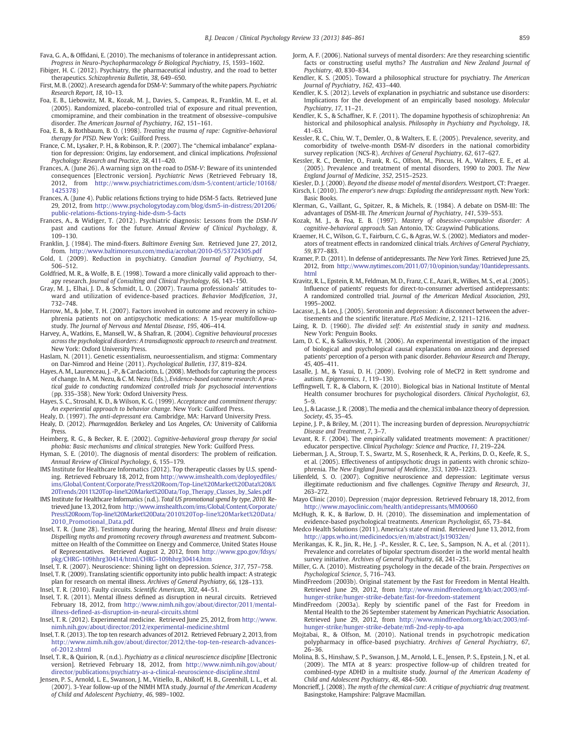- <span id="page-13-0"></span>Fava, G. A., & Offidani, E. (2010). The mechanisms of tolerance in antidepressant action. Progress in Neuro-Psychopharmacology & Biological Psychiatry, 15, 1593–1602.
- Fibiger, H. C. (2012). Psychiatry, the pharmaceutical industry, and the road to better therapeutics. Schizophrenia Bulletin, 38, 649–650.
- First, M. B. (2002). A research agenda for DSM-V: Summary of the white papers. Psychiatric Research Report, 18, 10–13.
- Foa, E. B., Liebowitz, M. R., Kozak, M. J., Davies, S., Campeas, R., Franklin, M. E., et al. (2005). Randomized, placebo-controlled trial of exposure and ritual prevention, cmomipramine, and their combination in the treatment of obsessive–compulsive disorder. The American Journal of Psychiatry, 162, 151–161.
- Foa, E. B., & Rothbaum, B. O. (1998). Treating the trauma of rape: Cognitive-behavioral therapy for PTSD. New York: Guilford Press.
- France, C. M., Lysaker, P. H., & Robinson, R. P. (2007). The "chemical imbalance" explanation for depression: Origins, lay endorsement, and clinical implications. Professional Psychology: Research and Practice, 38, 411–420.
- Frances, A. (June 26). A warning sign on the road to DSM-V: Beware of its unintended consequences [Electronic version]. Psychiatric News (Retrieved February 18, 2012, from [http://www.psychiatrictimes.com/dsm-5/content/article/10168/](http://www.psychiatrictimes.com/dsm-5/content/article/10168/1425378) [1425378\)](http://www.psychiatrictimes.com/dsm-5/content/article/10168/1425378)
- Frances, A. (June 4). Public relations fictions trying to hide DSM-5 facts. Retrieved June 29, 2012, from [http://www.psychologytoday.com/blog/dsm5-in-distress/201206/](http://www.psychologytoday.com/blog/dsm5-in-distress/201206/public-relations-fictions-trying-hide-dsm-5-facts) public-relations-fi[ctions-trying-hide-dsm-5-facts](http://www.psychologytoday.com/blog/dsm5-in-distress/201206/public-relations-fictions-trying-hide-dsm-5-facts)
- Frances, A., & Widiger, T. (2012). Psychiatric diagnosis: Lessons from the DSM-IV past and cautions for the future. Annual Review of Clinical Psychology, 8, 109–130.
- Franklin, J. (1984). The mind-fixers. Baltimore Evening Sun. Retrieved June 27, 2012, from. <http://www.baltimoresun.com/media/acrobat/2010-05/53724305.pdf>
- Gold, I. (2009). Reduction in psychiatry. Canadian Journal of Psychiatry, 54, 506–512.
- Goldfried, M. R., & Wolfe, B. E. (1998). Toward a more clinically valid approach to therapy research. Journal of Consulting and Clinical Psychology, 66, 143–150.
- Gray, M. J., Elhai, J. D., & Schmidt, L. O. (2007). Trauma professionals' attitudes toward and utilization of evidence-based practices. Behavior Modification, 31, 732–748.
- Harrow, M., & Jobe, T. H. (2007). Factors involved in outcome and recovery in schizophrenia patients not on antipsychotic medications: A 15-year multifollow-up study. The Journal of Nervous and Mental Disease, 195, 406–414.
- Harvey, A., Watkins, E., Mansell, W., & Shafran, R. (2004). Cognitive behavioural processes across the psychological disorders: A transdiagnostic approach to research and treatment. New York: Oxford University Press.
- Haslam, N. (2011). Genetic essentialism, neuroessentialism, and stigma: Commentary on Dar-Nimrod and Heine (2011). Psychological Bulletin, 137, 819–824.
- Hayes, A. M., Laurenceau, J. -P., & Cardaciotto, L. (2008). Methods for capturing the process of change. In A. M. Nezu, & C. M. Nezu (Eds.), Evidence-based outcome research: A practical guide to conducting randomized controlled trials for psychosocial interventions (pp. 335–358). New York: Oxford University Press.
- Hayes, S. C., Strosahl, K. D., & Wilson, K. G. (1999). Acceptance and commitment therapy: An experiential approach to behavior change. New York: Guilford Press.
- Healy, D. (1997). The anti-depressant era. Cambridge, MA: Harvard University Press.
- Healy, D. (2012). Pharmageddon. Berkeley and Los Angeles, CA: University of California Press.
- Heimberg, R. G., & Becker, R. E. (2002). Cognitive-behavioral group therapy for social phobia: Basic mechanisms and clinical strategies. New York: Guilford Press.
- Hyman, S. E. (2010). The diagnosis of mental disorders: The problem of reification. Annual Review of Clinical Psychology, 6, 155–179.
- IMS Institute for Healthcare Informatics (2012). Top therapeutic classes by U.S. spending. Retrieved February 18, 2012, from [http://www.imshealth.com/deployed](http://www.imshealth.com/deployedfiles/ims/Global/Content/Corporate/Press%20Room/Top-Line%20Market%20Data%20&%20Trends/2011%20Top-line%20Market%20Data/Top_Therapy_Classes_by_Sales.pdf)files/ [ims/Global/Content/Corporate/Press%20Room/Top-Line%20Market%20Data%20&%](http://www.imshealth.com/deployedfiles/ims/Global/Content/Corporate/Press%20Room/Top-Line%20Market%20Data%20&%20Trends/2011%20Top-line%20Market%20Data/Top_Therapy_Classes_by_Sales.pdf) [20Trends/2011%20Top-line%20Market%20Data/Top\\_Therapy\\_Classes\\_by\\_Sales.pdf](http://www.imshealth.com/deployedfiles/ims/Global/Content/Corporate/Press%20Room/Top-Line%20Market%20Data%20&%20Trends/2011%20Top-line%20Market%20Data/Top_Therapy_Classes_by_Sales.pdf)
- IMS Institute for Healthcare Informatics (n.d.). Total US promotional spend by type, 2010. Retrieved June 13, 2012, from [http://www.imshealth.com/ims/Global/Content/Corporate/](http://www.imshealth.com/ims/Global/Content/Corporate/Press%20Room/Top-line%20Market%20Data/2010%20Top-line%20Market%20Data/2010_Promotional_Data.pdf) [Press%20Room/Top-line%20Market%20Data/2010%20Top-line%20Market%20Data/](http://www.imshealth.com/ims/Global/Content/Corporate/Press%20Room/Top-line%20Market%20Data/2010%20Top-line%20Market%20Data/2010_Promotional_Data.pdf) [2010\\_Promotional\\_Data.pdf.](http://www.imshealth.com/ims/Global/Content/Corporate/Press%20Room/Top-line%20Market%20Data/2010%20Top-line%20Market%20Data/2010_Promotional_Data.pdf)
- Insel, T. R. (June 28). Testimony during the hearing, Mental Illness and brain disease: Dispelling myths and promoting recovery through awareness and treatment. Subcommittee on Health of the Committee on Energy and Commerce, United States House of Representatives. Retrieved August 2, 2012, from [http://www.gpo.gov/fdsys/](http://www.gpo.gov/fdsys/pkg/CHRG-109hhrg30414/html/CHRG-109hhrg30414.htm) [pkg/CHRG-109hhrg30414/html/CHRG-109hhrg30414.htm](http://www.gpo.gov/fdsys/pkg/CHRG-109hhrg30414/html/CHRG-109hhrg30414.htm)
- Insel, T. R. (2007). Neuroscience: Shining light on depression. Science, 317, 757–758.
- Insel, T. R. (2009). Translating scientific opportunity into public health impact: A strategic plan for research on mental illness. Archives of General Psychiatry, 66, 128–133. Insel, T. R. (2010). Faulty circuits. Scientific American, 302, 44–51.
- Insel, T. R. (2011). Mental illness defined as disruption in neural circuits. Retrieved February 18, 2012, from [http://www.nimh.nih.gov/about/director/2011/mental](http://www.nimh.nih.gov/about/director/2011/mental-illness-defined-as-disruption-in-neural-circuits.shtml)illness-defi[ned-as-disruption-in-neural-circuits.shtml](http://www.nimh.nih.gov/about/director/2011/mental-illness-defined-as-disruption-in-neural-circuits.shtml)
- Insel, T. R. (2012). Experimental medicine. Retrieved June 25, 2012, from [http://www.](http://www.nimh.nih.gov/about/director/2012/experimental-medicine.shtml) [nimh.nih.gov/about/director/2012/experimental-medicine.shtml](http://www.nimh.nih.gov/about/director/2012/experimental-medicine.shtml)
- Insel, T. R. (2013). The top ten research advances of 2012. Retrieved February 2, 2013, from [http://www.nimh.nih.gov/about/director/2012/the-top-ten-research-advances](http://www.nimh.nih.gov/about/director/2012/the-top-ten-research-advances-of-2012.shtml)[of-2012.shtml](http://www.nimh.nih.gov/about/director/2012/the-top-ten-research-advances-of-2012.shtml)
- Insel, T. R., & Quirion, R. (n.d.). Psychiatry as a clinical neuroscience discipline [Electronic version]. Retrieved February 18, 2012, from [http://www.nimh.nih.gov/about/](http://www.nimh.nih.gov/about/director/publications/psychiatry-as-a-clinical-neuroscience-discipline.shtml) [director/publications/psychiatry-as-a-clinical-neuroscience-discipline.shtml](http://www.nimh.nih.gov/about/director/publications/psychiatry-as-a-clinical-neuroscience-discipline.shtml)
- Jensen, P. S., Arnold, L. E., Swanson, J. M., Vitiello, B., Abikoff, H. B., Greenhill, L. L., et al. (2007). 3-Year follow-up of the NIMH MTA study. Journal of the American Academy of Child and Adolescent Psychiatry, 46, 989–1002.
- Jorm, A. F. (2006). National surveys of mental disorders: Are they researching scientific facts or constructing useful myths? The Australian and New Zealand Journal of Psychiatry, 40, 830–834.
- Kendler, K. S. (2005). Toward a philosophical structure for psychiatry. The American Journal of Psychiatry, 162, 433–440.
- Kendler, K. S. (2012). Levels of explanation in psychiatric and substance use disorders: Implications for the development of an empirically based nosology. Molecular Psychiatry, 17, 11–21.
- Kendler, K. S., & Schaffner, K. F. (2011). The dopamine hypothesis of schizophrenia: An historical and philosophical analysis. Philosophy in Psychiatry and Psychology, 18, 41–63.
- Kessler, R. C., Chiu, W. T., Demler, O., & Walters, E. E. (2005). Prevalence, severity, and comorbidity of twelve-month DSM-IV disorders in the national comorbidity survey replication (NCS-R). Archives of General Psychiatry, 62, 617–627.
- Kessler, R. C., Demler, O., Frank, R. G., Olfson, M., Pincus, H. A., Walters, E. E., et al. (2005). Prevalence and treatment of mental disorders, 1990 to 2003. The New England Journal of Medicine, 352, 2515–2523.
- Kiesler, D. J. (2000). Beyond the disease model of mental disorders. Westport, CT: Praeger. Kirsch, I. (2010). The emperor's new drugs: Exploding the antidepressant myth. New York: Basic Books.
- Klerman, G., Vaillant, G., Spitzer, R., & Michels, R. (1984). A debate on DSM-III: The advantages of DSM-III. The American Journal of Psychiatry, 141, 539–553.
- Kozak, M. J., & Foa, E. B. (1997). Mastery of obsessive–compulsive disorder: A cognitive-behavioral approach. San Antonio, TX: Graywind Publications.
- Kraemer, H. C., Wilson, G. T., Fairburn, C. G., & Agras, W. S. (2002). Mediators and moderators of treatment effects in randomized clinical trials. Archives of General Psychiatry, 59, 877–883.
- Kramer, P. D. (2011). In defense of antidepressants. The New York Times. Retrieved June 25, 2012, from [http://www.nytimes.com/2011/07/10/opinion/sunday/10antidepressants.](http://www.nytimes.com/2011/07/10/opinion/sunday/10antidepressants.html) [html](http://www.nytimes.com/2011/07/10/opinion/sunday/10antidepressants.html)
- Kravitz, R. L., Epstein, R. M., Feldman, M. D., Franz, C. E., Azari, R., Wilkes, M. S., et al. (2005). Influence of patients' requests for direct-to-consumer advertised antidepressants: A randomized controlled trial. Journal of the American Medical Association, 293, 1995–2002.
- Lacasse, J., & Leo, J. (2005). Serotonin and depression: A disconnect between the advertisements and the scientific literature. PLoS Medicine, 2, 1211–1216.
- Laing, R. D. (1960). The divided self: An existential study in sanity and madness. New York: Penguin Books.
- Lam, D. C. K., & Salkovskis, P. M. (2006). An experimental investigation of the impact of biological and psychological causal explanations on anxious and depressed patients' perception of a person with panic disorder. Behaviour Research and Therapy, 45, 405–411.
- Lasalle, J. M., & Yasui, D. H. (2009). Evolving role of MeCP2 in Rett syndrome and autism. Epigenomics, 1, 119–130.
- Leffingwell, T. R., & Claborn, K. (2010). Biological bias in National Institute of Mental Health consumer brochures for psychological disorders. Clinical Psychologist, 63, 5–9.
- Leo, J., & Lacasse, J. R. (2008). The media and the chemical imbalance theory of depression. Society, 45, 35–45.
- Lepine, J. P., & Briley, M. (2011). The increasing burden of depression. Neuropsychiatric Disease and Treatment, 7, 3–7.
- Levant, R. F. (2004). The empirically validated treatments movement: A practitioner/ educator perspective. Clinical Psychology: Science and Practice, 11, 219–224.
- Lieberman, J. A., Stroup, T. S., Swartz, M. S., Rosenheck, R. A., Perkins, D. O., Keefe, R. S., et al. (2005). Effectiveness of antipsychotic drugs in patients with chronic schizophrenia. The New England Journal of Medicine, 353, 1209–1223.
- Lilienfeld, S. O. (2007). Cognitive neuroscience and depression: Legitimate versus illegitimate reductionism and five challenges. Cognitive Therapy and Research, 31, 263–272.
- Mayo Clinic (2010). Depression (major depression. Retrieved February 18, 2012, from <http://www.mayoclinic.com/health/antidepressants/MM00660>
- McHugh, R. K., & Barlow, D. H. (2010). The dissemination and implementation of evidence-based psychological treatments. American Psychologist, 65, 73–84.
- Medco Health Solutions (2011). America's state of mind. Retrieved June 13, 2012, from <http://apps.who.int/medicinedocs/en/m/abstract/Js19032en/>
- Merikangas, K. R., Jin, R., He, J. -P., Kessler, R. C., Lee, S., Sampson, N. A., et al. (2011). Prevalence and correlates of bipolar spectrum disorder in the world mental health survey initiative. Archives of General Psychiatry, 68, 241–251.
- Miller, G. A. (2010). Mistreating psychology in the decade of the brain. Perspectives on Psychological Science, 5, 716–743.
- MindFreedom (2003b). Original statement by the Fast for Freedom in Mental Health. Retrieved June 29, 2012, from [http://www.mindfreedom.org/kb/act/2003/mf](http://www.mindfreedom.org/kb/act/2003/mf-hunger-strike/hunger-strike-debate/fast-for-freedom-statement)[hunger-strike/hunger-strike-debate/fast-for-freedom-statement](http://www.mindfreedom.org/kb/act/2003/mf-hunger-strike/hunger-strike-debate/fast-for-freedom-statement)
- MindFreedom (2003a). Reply by scientific panel of the Fast for Freedom in Mental Health to the 26 September statement by American Psychiatric Association. Retrieved June 29, 2012, from [http://www.mindfreedom.org/kb/act/2003/mf](http://www.mindfreedom.org/kb/act/2003/mf-hunger-strike/hunger-strike-debate/mfi-2nd-reply-to-apa)[hunger-strike/hunger-strike-debate/m](http://www.mindfreedom.org/kb/act/2003/mf-hunger-strike/hunger-strike-debate/mfi-2nd-reply-to-apa)fi-2nd-reply-to-apa
- Mojtabai, R., & Olfson, M. (2010). National trends in psychotropic medication polypharmacy in office-based psychiatry. Archives of General Psychiatry, 67, 26–36.
- Molina, B. S., Hinshaw, S. P., Swanson, J. M., Arnold, L. E., Jensen, P. S., Epstein, J. N., et al. (2009). The MTA at 8 years: prospective follow-up of children treated for combined-type ADHD in a multisite study. Journal of the American Academy of Child and Adolescent Psychiatry, 48, 484–500.
- Moncrieff, J. (2008). The myth of the chemical cure: A critique of psychiatric drug treatment. Basingstoke, Hampshire: Palgrave Macmillan.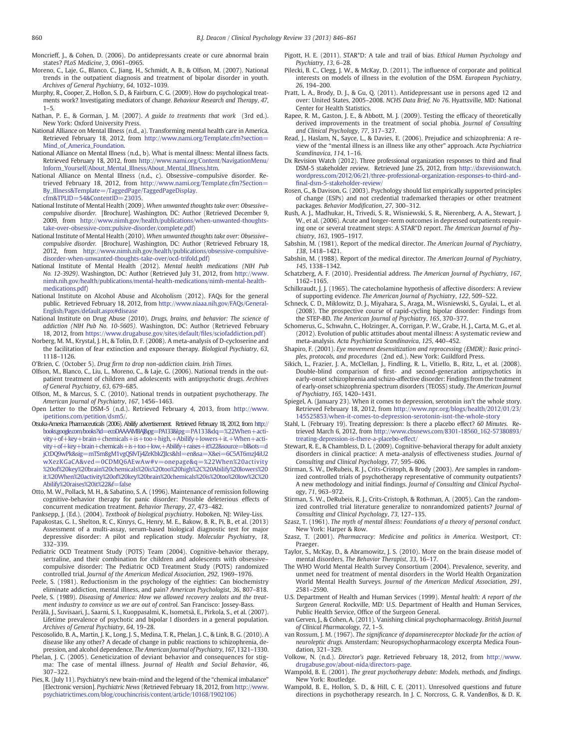<span id="page-14-0"></span>Moncrieff, J., & Cohen, D. (2006). Do antidepressants create or cure abnormal brain states? PLoS Medicine, 3, 0961–0965.

- Moreno, C., Laje, G., Blanco, C., Jiang, H., Schmidt, A. B., & Olfson, M. (2007). National trends in the outpatient diagnosis and treatment of bipolar disorder in youth. Archives of General Psychiatry, 64, 1032–1039.
- Murphy, R., Cooper, Z., Hollon, S. D., & Fairburn, C. G. (2009). How do psychological treatments work? Investigating mediators of change. Behaviour Research and Therapy, 47,  $1 - 5$ .
- Nathan, P. E., & Gorman, J. M. (2007). A guide to treatments that work (3rd ed.). New York: Oxford University Press.
- National Alliance on Mental Illness (n.d., a). Transforming mental health care in America. Retrieved February 18, 2012, from [http://www.nami.org/Template.cfm?section=](http://www.nami.org/Template.cfm?section=Mind_of_America_Foundation) [Mind\\_of\\_America\\_Foundation](http://www.nami.org/Template.cfm?section=Mind_of_America_Foundation).
- National Alliance on Mental Illness (n.d., b). What is mental illness: Mental illness facts. Retrieved February 18, 2012, from [http://www.nami.org/Content/NavigationMenu/](http://www.nami.org/Content/NavigationMenu/Inform_Yourself/About_Mental_Illness/About_Mental_Illness.htm) [Inform\\_Yourself/About\\_Mental\\_Illness/About\\_Mental\\_Illness.htm](http://www.nami.org/Content/NavigationMenu/Inform_Yourself/About_Mental_Illness/About_Mental_Illness.htm).
- National Alliance on Mental Illness (n.d., c). Obsessive–compulsive disorder. Retrieved February 18, 2012, from [http://www.nami.org/Template.cfm?Section=](http://www.nami.org/Template.cfm?Section=By_Illness&Template=/TaggedPage/TaggedPageDisplay.cfm&TPLID=54&ContentID=23035) [By\\_Illness&Template=/TaggedPage/TaggedPageDisplay.](http://www.nami.org/Template.cfm?Section=By_Illness&Template=/TaggedPage/TaggedPageDisplay.cfm&TPLID=54&ContentID=23035)
- [cfm&TPLID=54&ContentID=23035.](http://www.nami.org/Template.cfm?Section=By_Illness&Template=/TaggedPage/TaggedPageDisplay.cfm&TPLID=54&ContentID=23035)
- National Institute of Mental Health (2009). When unwanted thoughts take over: Obsessive– compulsive disorder. [Brochure]. Washington, DC: Author (Retrieved December 9, 2009, from [http://www.nimh.gov/health/publications/when-unwanted-thoughts](http://www.nimh.gov/health/publications/when-unwanted-thoughts-take-over-obsessive-com;pulsive-disorder/complete.pdf)[take-over-obsessive-com;pulsive-disorder/complete.pdf\)](http://www.nimh.gov/health/publications/when-unwanted-thoughts-take-over-obsessive-com;pulsive-disorder/complete.pdf)
- National Institute of Mental Health (2010). When unwanted thoughts take over: Obsessive– compulsive disorder. [Brochure]. Washington, DC: Author (Retrieved February 18, 2012, from [http://www.nimh.nih.gov/health/publications/obsessive-compulsive](http://www.nimh.nih.gov/health/publications/obsessive-compulsive-disorder-when-unwanted-thoughts-take-over/ocd-trifold.pdf)[disorder-when-unwanted-thoughts-take-over/ocd-trifold.pdf\)](http://www.nimh.nih.gov/health/publications/obsessive-compulsive-disorder-when-unwanted-thoughts-take-over/ocd-trifold.pdf)
- National Institute of Mental Health (2012). Mental health medications (NIH Pub No. 12-3929). Washington, DC: Author (Retrieved July 31, 2012, from [http://www.](http://www.nimh.nih.gov/health/publications/mental-health-medications/nimh-mental-health-medications.pdf) [nimh.nih.gov/health/publications/mental-health-medications/nimh-mental-health](http://www.nimh.nih.gov/health/publications/mental-health-medications/nimh-mental-health-medications.pdf)[medications.pdf\)](http://www.nimh.nih.gov/health/publications/mental-health-medications/nimh-mental-health-medications.pdf)
- National Institute on Alcohol Abuse and Alcoholism (2012). FAQs for the general public. Retrieved February 18, 2012, from [http://www.niaaa.nih.gov/FAQs/General-](http://www.niaaa.nih.gov/FAQs/General-English/Pages/default.aspx#disease)[English/Pages/default.aspx#disease](http://www.niaaa.nih.gov/FAQs/General-English/Pages/default.aspx#disease)
- National Institute on Drug Abuse (2010). Drugs, brains, and behavior: The science of addiction (NIH Pub No. 10-5605). Washington, DC: Author (Retrieved February 18, 2012, from [https://www.drugabuse.gov/sites/default/](https://www.drugabuse.gov/sites/default/files/sciofaddiction.pdf)files/sciofaddiction.pdf)
- Norberg, M. M., Krystal, J. H., & Tolin, D. F. (2008). A meta-analysis of D-cycloserine and the facilitation of fear extinction and exposure therapy. Biological Psychiatry, 63, 1118–1126.
- O'Brien, C. (October 5). Drug firm to drop non-addiction claim. Irish Times.
- Olfson, M., Blanco, C., Liu, L., Moreno, C., & Laje, G. (2006). National trends in the outpatient treatment of children and adolescents with antipsychotic drugs. Archives of General Psychiatry, 63, 679–685.
- Olfson, M., & Marcus, S. C. (2010). National trends in outpatient psychotherapy. The American Journal of Psychiatry, 167, 1456–1463.
- Open Letter to the DSM-5 (n.d.). Retrieved February 4, 2013, from [http://www.](http://www.ipetitions.com/petition/dsm5/) [ipetitions.com/petition/dsm5/](http://www.ipetitions.com/petition/dsm5/).
- Otsuka-America Pharmaceuticals (2006). Abilify advertisement. Retrieved February 18, 2012, from [http://](http://books.google.com/books?id=ecoDAAAAMBAJ&pg=PA133&lpg=PA133&dq=%22When+activity+of+key+brain+chemicals+is+too+high,+Abilify+lowers+it.+When+activity+of+key+brain+chemicals+is+too+low,+Abilify+raises+it%22&source=bl&ots=djCtDQ9wPk&sig=mTSm8gM1vgQSfvTj4ZeKbkZJIcs&hl=en&sa=X&ei=6C5AT6mzJ4iU2wXezKGaCA&ved=0CDMQ6AEwAw#v=onepage&q=%22When%20activity%20of%20key%20brain%20chemicals%20is%20too%20high%2C%20Abilify%20lowers%20it.%20When%20activity%20of%20key%20brain%20chemicals%20is%20too%20low%2C%20Abilify%20raises%20it%22&f=false) [books.google.com/books?id=ecoDAAAAMBAJ&pg=PA133&lpg=PA133&dq=%22When+acti](http://books.google.com/books?id=ecoDAAAAMBAJ&pg=PA133&lpg=PA133&dq=%22When+activity+of+key+brain+chemicals+is+too+high,+Abilify+lowers+it.+When+activity+of+key+brain+chemicals+is+too+low,+Abilify+raises+it%22&source=bl&ots=djCtDQ9wPk&sig=mTSm8gM1vgQSfvTj4ZeKbkZJIcs&hl=en&sa=X&ei=6C5AT6mzJ4iU2wXezKGaCA&ved=0CDMQ6AEwAw#v=onepage&q=%22When%20activity%20of%20key%20brain%20chemicals%20is%20too%20high%2C%20Abilify%20lowers%20it.%20When%20activity%20of%20key%20brain%20chemicals%20is%20too%20low%2C%20Abilify%20raises%20it%22&f=false)[vity+of+key+brain+chemicals+is+too+high,+Abilify+lowers+it.+When+acti](http://books.google.com/books?id=ecoDAAAAMBAJ&pg=PA133&lpg=PA133&dq=%22When+activity+of+key+brain+chemicals+is+too+high,+Abilify+lowers+it.+When+activity+of+key+brain+chemicals+is+too+low,+Abilify+raises+it%22&source=bl&ots=djCtDQ9wPk&sig=mTSm8gM1vgQSfvTj4ZeKbkZJIcs&hl=en&sa=X&ei=6C5AT6mzJ4iU2wXezKGaCA&ved=0CDMQ6AEwAw#v=onepage&q=%22When%20activity%20of%20key%20brain%20chemicals%20is%20too%20high%2C%20Abilify%20lowers%20it.%20When%20activity%20of%20key%20brain%20chemicals%20is%20too%20low%2C%20Abilify%20raises%20it%22&f=false)[vity+of+key+brain+chemicals+is+too+low,+Abilify+raises+it%22&source=bl&ots=d](http://books.google.com/books?id=ecoDAAAAMBAJ&pg=PA133&lpg=PA133&dq=%22When+activity+of+key+brain+chemicals+is+too+high,+Abilify+lowers+it.+When+activity+of+key+brain+chemicals+is+too+low,+Abilify+raises+it%22&source=bl&ots=djCtDQ9wPk&sig=mTSm8gM1vgQSfvTj4ZeKbkZJIcs&hl=en&sa=X&ei=6C5AT6mzJ4iU2wXezKGaCA&ved=0CDMQ6AEwAw#v=onepage&q=%22When%20activity%20of%20key%20brain%20chemicals%20is%20too%20high%2C%20Abilify%20lowers%20it.%20When%20activity%20of%20key%20brain%20chemicals%20is%20too%20low%2C%20Abilify%20raises%20it%22&f=false) [jCtDQ9wPk&sig=mTSm8gM1vgQSfvTj4ZeKbkZJIcs&hl=en&sa=X&ei=6C5AT6mzJ4iU2](http://books.google.com/books?id=ecoDAAAAMBAJ&pg=PA133&lpg=PA133&dq=%22When+activity+of+key+brain+chemicals+is+too+high,+Abilify+lowers+it.+When+activity+of+key+brain+chemicals+is+too+low,+Abilify+raises+it%22&source=bl&ots=djCtDQ9wPk&sig=mTSm8gM1vgQSfvTj4ZeKbkZJIcs&hl=en&sa=X&ei=6C5AT6mzJ4iU2wXezKGaCA&ved=0CDMQ6AEwAw#v=onepage&q=%22When%20activity%20of%20key%20brain%20chemicals%20is%20too%20high%2C%20Abilify%20lowers%20it.%20When%20activity%20of%20key%20brain%20chemicals%20is%20too%20low%2C%20Abilify%20raises%20it%22&f=false) [wXezKGaCA&ved=0CDMQ6AEwAw#v=onepage&q=%22When%20activity](http://books.google.com/books?id=ecoDAAAAMBAJ&pg=PA133&lpg=PA133&dq=%22When+activity+of+key+brain+chemicals+is+too+high,+Abilify+lowers+it.+When+activity+of+key+brain+chemicals+is+too+low,+Abilify+raises+it%22&source=bl&ots=djCtDQ9wPk&sig=mTSm8gM1vgQSfvTj4ZeKbkZJIcs&hl=en&sa=X&ei=6C5AT6mzJ4iU2wXezKGaCA&ved=0CDMQ6AEwAw#v=onepage&q=%22When%20activity%20of%20key%20brain%20chemicals%20is%20too%20high%2C%20Abilify%20lowers%20it.%20When%20activity%20of%20key%20brain%20chemicals%20is%20too%20low%2C%20Abilify%20raises%20it%22&f=false) [%20of%20key%20brain%20chemicals%20is%20too%20high%2C%20Abilify%20lowers%20](http://books.google.com/books?id=ecoDAAAAMBAJ&pg=PA133&lpg=PA133&dq=%22When+activity+of+key+brain+chemicals+is+too+high,+Abilify+lowers+it.+When+activity+of+key+brain+chemicals+is+too+low,+Abilify+raises+it%22&source=bl&ots=djCtDQ9wPk&sig=mTSm8gM1vgQSfvTj4ZeKbkZJIcs&hl=en&sa=X&ei=6C5AT6mzJ4iU2wXezKGaCA&ved=0CDMQ6AEwAw#v=onepage&q=%22When%20activity%20of%20key%20brain%20chemicals%20is%20too%20high%2C%20Abilify%20lowers%20it.%20When%20activity%20of%20key%20brain%20chemicals%20is%20too%20low%2C%20Abilify%20raises%20it%22&f=false) [it.%20When%20activity%20of%20key%20brain%20chemicals%20is%20too%20low%2C%20](http://books.google.com/books?id=ecoDAAAAMBAJ&pg=PA133&lpg=PA133&dq=%22When+activity+of+key+brain+chemicals+is+too+high,+Abilify+lowers+it.+When+activity+of+key+brain+chemicals+is+too+low,+Abilify+raises+it%22&source=bl&ots=djCtDQ9wPk&sig=mTSm8gM1vgQSfvTj4ZeKbkZJIcs&hl=en&sa=X&ei=6C5AT6mzJ4iU2wXezKGaCA&ved=0CDMQ6AEwAw#v=onepage&q=%22When%20activity%20of%20key%20brain%20chemicals%20is%20too%20high%2C%20Abilify%20lowers%20it.%20When%20activity%20of%20key%20brain%20chemicals%20is%20too%20low%2C%20Abilify%20raises%20it%22&f=false) [Abilify%20raises%20it%22&f=false](http://books.google.com/books?id=ecoDAAAAMBAJ&pg=PA133&lpg=PA133&dq=%22When+activity+of+key+brain+chemicals+is+too+high,+Abilify+lowers+it.+When+activity+of+key+brain+chemicals+is+too+low,+Abilify+raises+it%22&source=bl&ots=djCtDQ9wPk&sig=mTSm8gM1vgQSfvTj4ZeKbkZJIcs&hl=en&sa=X&ei=6C5AT6mzJ4iU2wXezKGaCA&ved=0CDMQ6AEwAw#v=onepage&q=%22When%20activity%20of%20key%20brain%20chemicals%20is%20too%20high%2C%20Abilify%20lowers%20it.%20When%20activity%20of%20key%20brain%20chemicals%20is%20too%20low%2C%20Abilify%20raises%20it%22&f=false)
- Otto, M. W., Pollack, M. H., & Sabatino, S. A. (1996). Maintenance of remission following cognitive-behavior therapy for panic disorder: Possible deleterious effects of concurrent medication treatment. Behavior Therapy, 27, 473–482.
- Panksepp, J. (Ed.). (2004). Textbook of biological psychiatry. Hoboken, NJ: Wiley-Liss.
- Papakostas, G. I., Shelton, R. C., Kinrys, G., Henry, M. E., Bakow, B. R., Pi, B., et al. (2013) Assessment of a multi-assay, serum-based biological diagnostic test for major depressive disorder: A pilot and replication study. Molecular Psychiatry, 18, 332–339.
- Pediatric OCD Treatment Study (POTS) Team (2004). Cognitive-behavior therapy, sertraline, and their combination for children and adolescents with obsessive– compulsive disorder: The Pediatric OCD Treatment Study (POTS) randomized controlled trial. Journal of the American Medical Association, 292, 1969–1976.
- Peele, S. (1981). Reductionism in the psychology of the eighties: Can biochemistry eliminate addiction, mental illness, and pain? American Psychologist, 36, 807–818.
- Peele, S. (1989). Diseasing of America: How we allowed recovery zealots and the treatment industry to convince us we are out of control. San Francisco: Jossey-Bass.
- Perälä, J., Suvisaari, J., Saarni, S. I., Kuoppasalmi, K., Isometsä, E., Pirkola, S., et al. (2007). Lifetime prevalence of psychotic and bipolar I disorders in a general population. Archives of General Psychiatry, 64, 19–28.
- Pescosolido, B. A., Martin, J. K., Long, J. S., Medina, T. R., Phelan, J. C., & Link, B. G. (2010). A disease like any other? A decade of change in public reactions to schizophrenia, depression, and alcohol dependence. The American Journal of Psychiatry, 167, 1321–1330.
- Phelan, J. C. (2005). Geneticization of deviant behavior and consequences for stigma: The case of mental illness. Journal of Health and Social Behavior, 46, 307–322.
- Pies, R. (July 11). Psychiatry's new brain-mind and the legend of the "chemical imbalance" [Electronic version]. Psychiatric News (Retrieved February 18, 2012, from [http://www.](http://www.psychiatrictimes.com/blog/couchincrisis/content/article/10168/1902106) [psychiatrictimes.com/blog/couchincrisis/content/article/10168/1902106\)](http://www.psychiatrictimes.com/blog/couchincrisis/content/article/10168/1902106)
- Pigott, H. E. (2011). STAR\*D: A tale and trail of bias. Ethical Human Psychology and Psychiatry, 13, 6–28.
- Pilecki, B. C., Clegg, J. W., & McKay, D. (2011). The influence of corporate and political interests on models of illness in the evolution of the DSM. European Psychiatry, 26, 194–200.
- Pratt, L. A., Brody, D. J., & Gu, Q. (2011). Antidepressant use in persons aged 12 and over: United States, 2005–2008. NCHS Data Brief, No 76. Hyattsville, MD: National Center for Health Statistics.
- Rapee, R. M., Gaston, J. E., & Abbott, M. J. (2009). Testing the efficacy of theoretically derived improvements in the treatment of social phobia. Journal of Consulting and Clinical Psychology, 77, 317–327.
- Read, J., Haslam, N., Sayce, L., & Davies, E. (2006). Prejudice and schizophrenia: A review of the "mental illness is an illness like any other" approach. Acta Psychiatrica Scandinavica, 114, 1–16.
- Dx Revision Watch (2012). Three professional organization responses to third and final DSM-5 stakeholder review. Retrieved June 25, 2012, from [http://dxrevisionwatch.](http://dxrevisionwatch.wordpress.com/2012/06/21/three-professional-organization-responses-to-third-and-final-dsm-5-stakeholder-review/) [wordpress.com/2012/06/21/three-professional-organization-responses-to-third-and](http://dxrevisionwatch.wordpress.com/2012/06/21/three-professional-organization-responses-to-third-and-final-dsm-5-stakeholder-review/)fi[nal-dsm-5-stakeholder-review/](http://dxrevisionwatch.wordpress.com/2012/06/21/three-professional-organization-responses-to-third-and-final-dsm-5-stakeholder-review/)
- Rosen, G., & Davison, G. (2003). Psychology should list empirically supported principles of change (ESPs) and not credential trademarked therapies or other treatment packages. Behavior Modification, 27, 300–312.
- Rush, A. J., Madhukar, H., Trivedi, S. R., Wisniewski, S. R., Nierenberg, A. A., Stewart, J. W., et al. (2006). Acute and longer-term outcomes in depressed outpatients requiring one or several treatment steps: A STAR\*D report. The American Journal of Psychiatry, 163, 1905–1917.
- Sabshin, M. (1981). Report of the medical director. The American Journal of Psychiatry, 138, 1418–1421.
- Sabshin, M. (1988). Report of the medical director. The American Journal of Psychiatry, 145, 1338–1342.
- Schatzberg, A. F. (2010). Presidential address. The American Journal of Psychiatry, 167, 1162–1165.
- Schilkraudt, J. J. (1965). The catecholamine hypothesis of affective disorders: A review of supporting evidence. The American Journal of Psychiatry, 122, 509–522.
- Schneck, C. D., Miklowitz, D. J., Miyahara, S., Araga, M., Wisniewski, S., Gyulai, L., et al. (2008). The prospective course of rapid-cycling bipolar disorder: Findings from the STEP-BD. The American Journal of Psychiatry, 165, 370–377.
- Schomerus, G., Schwahn, C., Holzinger, A., Corrigan, P. W., Grabe, H. J., Carta, M. G., et al. (2012). Evolution of public attitudes about mental illness: A systematic review and meta-analysis. Acta Psychiatrica Scandinavica, 125, 440–452.
- Shapiro, F. (2001). Eye movement desensitization and reprocessing (EMDR): Basic principles, protocols, and procedures (2nd ed.). New York: Guildford Press.
- Sikich, L., Frazier, J. A., McClellan, J., Findling, R. L., Vitiello, B., Ritz, L., et al. (2008). Double-blind comparison of first- and second-generation antipsychotics in early-onset schizophrenia and schizo-affective disorder: Findings from the treatment of early-onset schizophrenia spectrum disorders (TEOSS) study. The American Journal of Psychiatry, 165, 1420–1431.
- Spiegel, A. (January 23). When it comes to depression, serotonin isn't the whole story. Retrieved February 18, 2012, from [http://www.npr.org/blogs/health/2012/01/23/](http://www.npr.org/blogs/health/2012/01/23/145525853/when-it-comes-to-depression-serotonin-isnt-the-whole-story) [145525853/when-it-comes-to-depression-serotonin-isnt-the-whole-story](http://www.npr.org/blogs/health/2012/01/23/145525853/when-it-comes-to-depression-serotonin-isnt-the-whole-story)
- Stahl, L. (February 19). Treating depression: Is there a placebo effect? 60 Minutes. Retrieved March 6, 2012, from [http://www.cbsnews.com/8301-18560\\_162-57380893/](http://www.cbsnews.com/8301-18560_162-57380893/treating-depression-is-there-a-placebo-effect/) [treating-depression-is-there-a-placebo-effect/](http://www.cbsnews.com/8301-18560_162-57380893/treating-depression-is-there-a-placebo-effect/)
- Stewart, R. E., & Chambless, D. L. (2009). Cognitive-behavioral therapy for adult anxiety disorders in clinical practice: A meta-analysis of effectiveness studies. Journal of Consulting and Clinical Psychology, 77, 595–606.
- Stirman, S. W., DeRubeis, R. J., Crits-Cristoph, & Brody (2003). Are samples in randomized controlled trials of psychotherapy representative of community outpatients? A new methodology and initial findings. Journal of Consulting and Clinical Psychology, 71, 963–972.
- Stirman, S. W., DeRubeis, R. J., Crits-Cristoph, & Rothman, A. (2005). Can the randomized controlled trial literature generalize to nonrandomized patients? Journal of Consulting and Clinical Psychology, 73, 127–135.
- Szasz, T. (1961). The myth of mental illness: Foundations of a theory of personal conduct. New York: Harper & Row.
- Szasz, T. (2001). Pharmacracy: Medicine and politics in America. Westport, CT: Praeger.
- Taylor, S., McKay, D., & Abramowitz, J. S. (2010). More on the brain disease model of mental disorders. The Behavior Therapist, 33, 16–17.
- The WHO World Mental Health Survey Consortium (2004). Prevalence, severity, and unmet need for treatment of mental disorders in the World Health Organization World Mental Health Surveys. Journal of the American Medical Association, 291, 2581–2590.
- U.S. Department of Health and Human Services (1999). Mental health: A report of the Surgeon General. Rockville, MD: U.S. Department of Health and Human Services, Public Health Service, Office of the Surgeon General.
- van Gerven, J., & Cohen, A. (2011). Vanishing clinical psychopharmacology. British Journal of Clinical Pharmacology, 72, 1–5.
- van Rossum, J. M. (1967). The significance of dopaminereceptor blockade for the action of neuroleptic drugs. Amsterdam: Neuropsychopharmacology excerpta Medica Foundation, 321–329.
- Volkow, N. (n.d.). Director's page. Retrieved February 18, 2012, from [http://www.](http://www.drugabuse.gov/about-nida/directors-page) [drugabuse.gov/about-nida/directors-page.](http://www.drugabuse.gov/about-nida/directors-page)
- Wampold, B. E. (2001). The great psychotherapy debate: Models, methods, and findings. New York: Routledge.
- Wampold, B. E., Hollon, S. D., & Hill, C. E. (2011). Unresolved questions and future directions in psychotherapy research. In J. C. Norcross, G. R. VandenBos, & D. K.